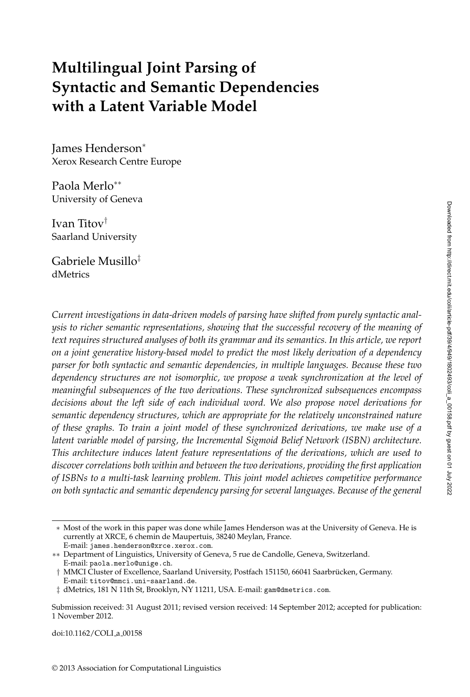# **Multilingual Joint Parsing of Syntactic and Semantic Dependencies with a Latent Variable Model**

James Henderson<sup>∗</sup> Xerox Research Centre Europe

Paola Merlo∗∗ University of Geneva

Ivan Titov† Saarland University

Gabriele Musillo‡ dMetrics

*Current investigations in data-driven models of parsing have shifted from purely syntactic analysis to richer semantic representations, showing that the successful recovery of the meaning of text requires structured analyses of both its grammar and its semantics. In this article, we report on a joint generative history-based model to predict the most likely derivation of a dependency parser for both syntactic and semantic dependencies, in multiple languages. Because these two dependency structures are not isomorphic, we propose a weak synchronization at the level of meaningful subsequences of the two derivations. These synchronized subsequences encompass decisions about the left side of each individual word. We also propose novel derivations for semantic dependency structures, which are appropriate for the relatively unconstrained nature of these graphs. To train a joint model of these synchronized derivations, we make use of a latent variable model of parsing, the Incremental Sigmoid Belief Network (ISBN) architecture. This architecture induces latent feature representations of the derivations, which are used to discover correlations both within and between the two derivations, providing the first application of ISBNs to a multi-task learning problem. This joint model achieves competitive performance on both syntactic and semantic dependency parsing for several languages. Because of the general*

† MMCI Cluster of Excellence, Saarland University, Postfach 151150, 66041 Saarbrucken, Germany. ¨

doi:10.1162/COLI\_a\_00158

<sup>∗</sup> Most of the work in this paper was done while James Henderson was at the University of Geneva. He is currently at XRCE, 6 chemin de Maupertuis, 38240 Meylan, France. E-mail: james.henderson@xrce.xerox.com.

<sup>∗∗</sup> Department of Linguistics, University of Geneva, 5 rue de Candolle, Geneva, Switzerland. E-mail: paola.merlo@unige.ch.

E-mail: titov@mmci.uni-saarland.de.

<sup>‡</sup> dMetrics, 181 N 11th St, Brooklyn, NY 11211, USA. E-mail: gam@dmetrics.com.

Submission received: 31 August 2011; revised version received: 14 September 2012; accepted for publication: 1 November 2012.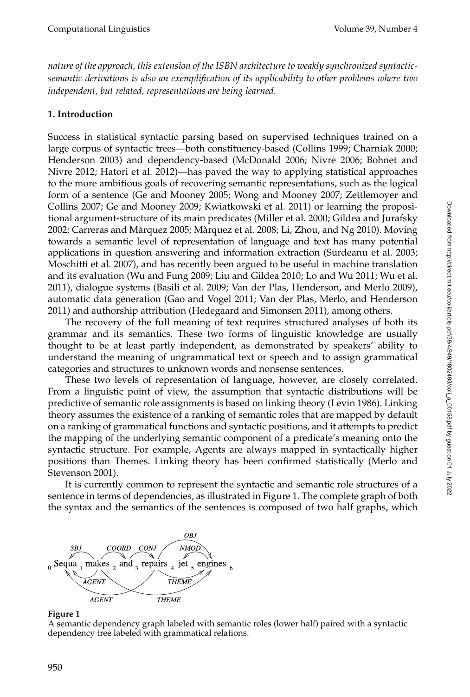*nature of the approach, this extension of the ISBN architecture to weakly synchronized syntacticsemantic derivations is also an exemplification of its applicability to other problems where two independent, but related, representations are being learned.*

#### **1. Introduction**

Success in statistical syntactic parsing based on supervised techniques trained on a large corpus of syntactic trees—both constituency-based (Collins 1999; Charniak 2000; Henderson 2003) and dependency-based (McDonald 2006; Nivre 2006; Bohnet and Nivre 2012; Hatori et al. 2012)—has paved the way to applying statistical approaches to the more ambitious goals of recovering semantic representations, such as the logical form of a sentence (Ge and Mooney 2005; Wong and Mooney 2007; Zettlemoyer and Collins 2007; Ge and Mooney 2009; Kwiatkowski et al. 2011) or learning the propositional argument-structure of its main predicates (Miller et al. 2000; Gildea and Jurafsky 2002; Carreras and Màrquez 2005; Màrquez et al. 2008; Li, Zhou, and Ng 2010). Moving towards a semantic level of representation of language and text has many potential applications in question answering and information extraction (Surdeanu et al. 2003; Moschitti et al. 2007), and has recently been argued to be useful in machine translation and its evaluation (Wu and Fung 2009; Liu and Gildea 2010; Lo and Wu 2011; Wu et al. 2011), dialogue systems (Basili et al. 2009; Van der Plas, Henderson, and Merlo 2009), automatic data generation (Gao and Vogel 2011; Van der Plas, Merlo, and Henderson 2011) and authorship attribution (Hedegaard and Simonsen 2011), among others.

The recovery of the full meaning of text requires structured analyses of both its grammar and its semantics. These two forms of linguistic knowledge are usually thought to be at least partly independent, as demonstrated by speakers' ability to understand the meaning of ungrammatical text or speech and to assign grammatical categories and structures to unknown words and nonsense sentences.

These two levels of representation of language, however, are closely correlated. From a linguistic point of view, the assumption that syntactic distributions will be predictive of semantic role assignments is based on linking theory (Levin 1986). Linking theory assumes the existence of a ranking of semantic roles that are mapped by default on a ranking of grammatical functions and syntactic positions, and it attempts to predict the mapping of the underlying semantic component of a predicate's meaning onto the syntactic structure. For example, Agents are always mapped in syntactically higher positions than Themes. Linking theory has been confirmed statistically (Merlo and Stevenson 2001).

It is currently common to represent the syntactic and semantic role structures of a sentence in terms of dependencies, as illustrated in Figure 1. The complete graph of both the syntax and the semantics of the sentences is composed of two half graphs, which



#### **Figure 1**

A semantic dependency graph labeled with semantic roles (lower half) paired with a syntactic dependency tree labeled with grammatical relations.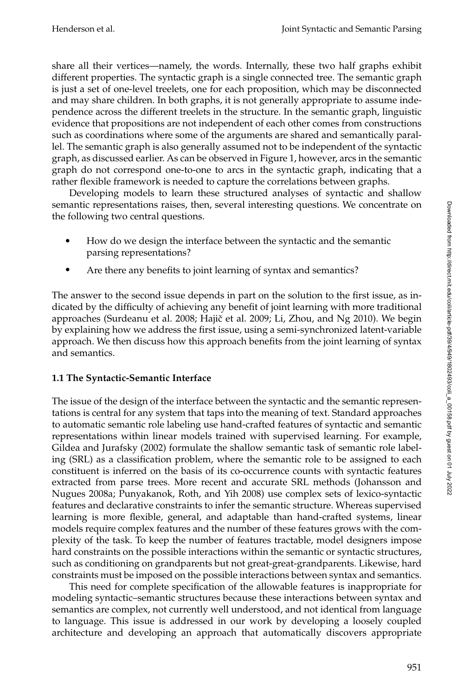share all their vertices—namely, the words. Internally, these two half graphs exhibit different properties. The syntactic graph is a single connected tree. The semantic graph is just a set of one-level treelets, one for each proposition, which may be disconnected and may share children. In both graphs, it is not generally appropriate to assume independence across the different treelets in the structure. In the semantic graph, linguistic evidence that propositions are not independent of each other comes from constructions such as coordinations where some of the arguments are shared and semantically parallel. The semantic graph is also generally assumed not to be independent of the syntactic graph, as discussed earlier. As can be observed in Figure 1, however, arcs in the semantic graph do not correspond one-to-one to arcs in the syntactic graph, indicating that a rather flexible framework is needed to capture the correlations between graphs.

Developing models to learn these structured analyses of syntactic and shallow semantic representations raises, then, several interesting questions. We concentrate on the following two central questions.

- How do we design the interface between the syntactic and the semantic parsing representations?
- Are there any benefits to joint learning of syntax and semantics?

The answer to the second issue depends in part on the solution to the first issue, as indicated by the difficulty of achieving any benefit of joint learning with more traditional approaches (Surdeanu et al. 2008; Hajič et al. 2009; Li, Zhou, and Ng 2010). We begin by explaining how we address the first issue, using a semi-synchronized latent-variable approach. We then discuss how this approach benefits from the joint learning of syntax and semantics.

## **1.1 The Syntactic-Semantic Interface**

The issue of the design of the interface between the syntactic and the semantic representations is central for any system that taps into the meaning of text. Standard approaches to automatic semantic role labeling use hand-crafted features of syntactic and semantic representations within linear models trained with supervised learning. For example, Gildea and Jurafsky (2002) formulate the shallow semantic task of semantic role labeling (SRL) as a classification problem, where the semantic role to be assigned to each constituent is inferred on the basis of its co-occurrence counts with syntactic features extracted from parse trees. More recent and accurate SRL methods (Johansson and Nugues 2008a; Punyakanok, Roth, and Yih 2008) use complex sets of lexico-syntactic features and declarative constraints to infer the semantic structure. Whereas supervised learning is more flexible, general, and adaptable than hand-crafted systems, linear models require complex features and the number of these features grows with the complexity of the task. To keep the number of features tractable, model designers impose hard constraints on the possible interactions within the semantic or syntactic structures, such as conditioning on grandparents but not great-great-grandparents. Likewise, hard constraints must be imposed on the possible interactions between syntax and semantics.

This need for complete specification of the allowable features is inappropriate for modeling syntactic–semantic structures because these interactions between syntax and semantics are complex, not currently well understood, and not identical from language to language. This issue is addressed in our work by developing a loosely coupled architecture and developing an approach that automatically discovers appropriate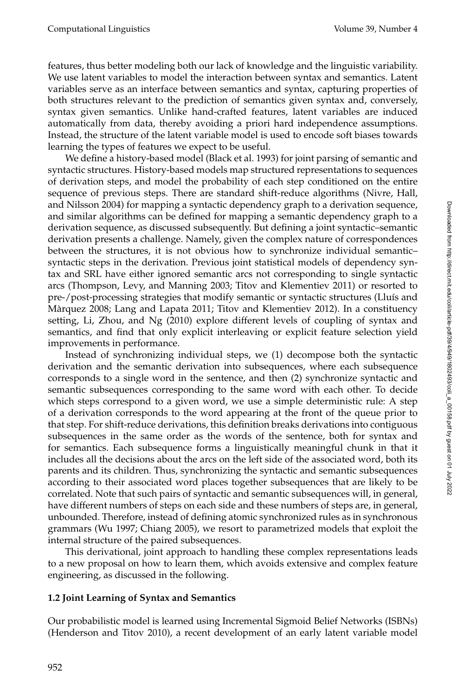features, thus better modeling both our lack of knowledge and the linguistic variability. We use latent variables to model the interaction between syntax and semantics. Latent variables serve as an interface between semantics and syntax, capturing properties of both structures relevant to the prediction of semantics given syntax and, conversely, syntax given semantics. Unlike hand-crafted features, latent variables are induced automatically from data, thereby avoiding a priori hard independence assumptions. Instead, the structure of the latent variable model is used to encode soft biases towards learning the types of features we expect to be useful.

We define a history-based model (Black et al. 1993) for joint parsing of semantic and syntactic structures. History-based models map structured representations to sequences of derivation steps, and model the probability of each step conditioned on the entire sequence of previous steps. There are standard shift-reduce algorithms (Nivre, Hall, and Nilsson 2004) for mapping a syntactic dependency graph to a derivation sequence, and similar algorithms can be defined for mapping a semantic dependency graph to a derivation sequence, as discussed subsequently. But defining a joint syntactic–semantic derivation presents a challenge. Namely, given the complex nature of correspondences between the structures, it is not obvious how to synchronize individual semantic– syntactic steps in the derivation. Previous joint statistical models of dependency syntax and SRL have either ignored semantic arcs not corresponding to single syntactic arcs (Thompson, Levy, and Manning 2003; Titov and Klementiev 2011) or resorted to pre-/post-processing strategies that modify semantic or syntactic structures (Lluís and Marquez 2008; Lang and Lapata 2011; Titov and Klementiev 2012). In a constituency ` setting, Li, Zhou, and Ng (2010) explore different levels of coupling of syntax and semantics, and find that only explicit interleaving or explicit feature selection yield improvements in performance.

Instead of synchronizing individual steps, we (1) decompose both the syntactic derivation and the semantic derivation into subsequences, where each subsequence corresponds to a single word in the sentence, and then (2) synchronize syntactic and semantic subsequences corresponding to the same word with each other. To decide which steps correspond to a given word, we use a simple deterministic rule: A step of a derivation corresponds to the word appearing at the front of the queue prior to that step. For shift-reduce derivations, this definition breaks derivations into contiguous subsequences in the same order as the words of the sentence, both for syntax and for semantics. Each subsequence forms a linguistically meaningful chunk in that it includes all the decisions about the arcs on the left side of the associated word, both its parents and its children. Thus, synchronizing the syntactic and semantic subsequences according to their associated word places together subsequences that are likely to be correlated. Note that such pairs of syntactic and semantic subsequences will, in general, have different numbers of steps on each side and these numbers of steps are, in general, unbounded. Therefore, instead of defining atomic synchronized rules as in synchronous grammars (Wu 1997; Chiang 2005), we resort to parametrized models that exploit the internal structure of the paired subsequences.

This derivational, joint approach to handling these complex representations leads to a new proposal on how to learn them, which avoids extensive and complex feature engineering, as discussed in the following.

# **1.2 Joint Learning of Syntax and Semantics**

Our probabilistic model is learned using Incremental Sigmoid Belief Networks (ISBNs) (Henderson and Titov 2010), a recent development of an early latent variable model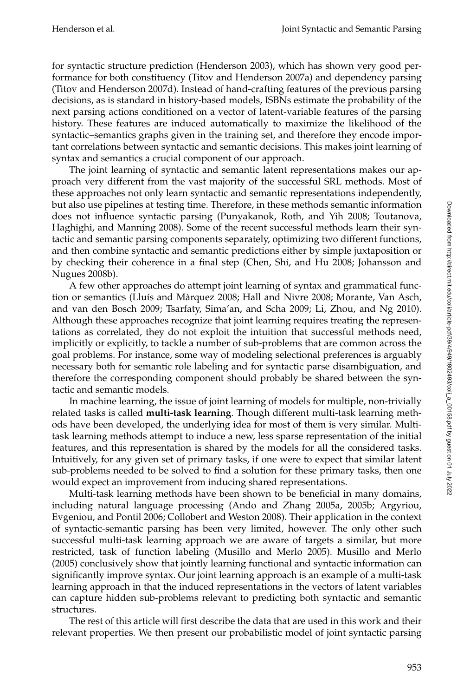for syntactic structure prediction (Henderson 2003), which has shown very good performance for both constituency (Titov and Henderson 2007a) and dependency parsing (Titov and Henderson 2007d). Instead of hand-crafting features of the previous parsing decisions, as is standard in history-based models, ISBNs estimate the probability of the next parsing actions conditioned on a vector of latent-variable features of the parsing history. These features are induced automatically to maximize the likelihood of the syntactic–semantics graphs given in the training set, and therefore they encode important correlations between syntactic and semantic decisions. This makes joint learning of syntax and semantics a crucial component of our approach.

The joint learning of syntactic and semantic latent representations makes our approach very different from the vast majority of the successful SRL methods. Most of these approaches not only learn syntactic and semantic representations independently, but also use pipelines at testing time. Therefore, in these methods semantic information does not influence syntactic parsing (Punyakanok, Roth, and Yih 2008; Toutanova, Haghighi, and Manning 2008). Some of the recent successful methods learn their syntactic and semantic parsing components separately, optimizing two different functions, and then combine syntactic and semantic predictions either by simple juxtaposition or by checking their coherence in a final step (Chen, Shi, and Hu 2008; Johansson and Nugues 2008b).

A few other approaches do attempt joint learning of syntax and grammatical function or semantics (Lluís and Màrquez 2008; Hall and Nivre 2008; Morante, Van Asch, and van den Bosch 2009; Tsarfaty, Sima'an, and Scha 2009; Li, Zhou, and Ng 2010). Although these approaches recognize that joint learning requires treating the representations as correlated, they do not exploit the intuition that successful methods need, implicitly or explicitly, to tackle a number of sub-problems that are common across the goal problems. For instance, some way of modeling selectional preferences is arguably necessary both for semantic role labeling and for syntactic parse disambiguation, and therefore the corresponding component should probably be shared between the syntactic and semantic models.

In machine learning, the issue of joint learning of models for multiple, non-trivially related tasks is called **multi-task learning**. Though different multi-task learning methods have been developed, the underlying idea for most of them is very similar. Multitask learning methods attempt to induce a new, less sparse representation of the initial features, and this representation is shared by the models for all the considered tasks. Intuitively, for any given set of primary tasks, if one were to expect that similar latent sub-problems needed to be solved to find a solution for these primary tasks, then one would expect an improvement from inducing shared representations.

Multi-task learning methods have been shown to be beneficial in many domains, including natural language processing (Ando and Zhang 2005a, 2005b; Argyriou, Evgeniou, and Pontil 2006; Collobert and Weston 2008). Their application in the context of syntactic-semantic parsing has been very limited, however. The only other such successful multi-task learning approach we are aware of targets a similar, but more restricted, task of function labeling (Musillo and Merlo 2005). Musillo and Merlo (2005) conclusively show that jointly learning functional and syntactic information can significantly improve syntax. Our joint learning approach is an example of a multi-task learning approach in that the induced representations in the vectors of latent variables can capture hidden sub-problems relevant to predicting both syntactic and semantic structures.

The rest of this article will first describe the data that are used in this work and their relevant properties. We then present our probabilistic model of joint syntactic parsing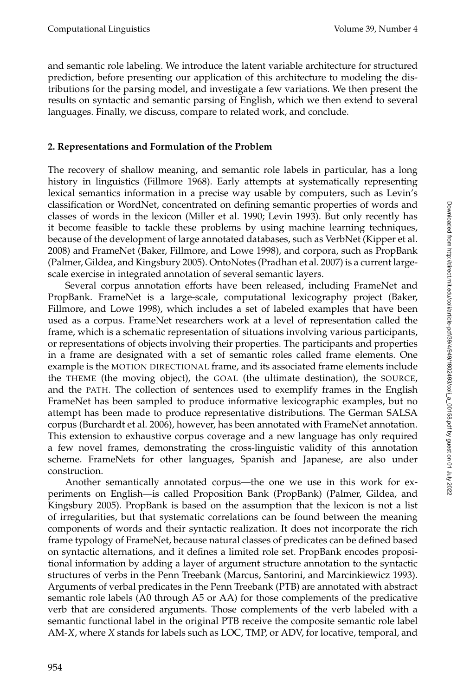and semantic role labeling. We introduce the latent variable architecture for structured prediction, before presenting our application of this architecture to modeling the distributions for the parsing model, and investigate a few variations. We then present the results on syntactic and semantic parsing of English, which we then extend to several languages. Finally, we discuss, compare to related work, and conclude.

### **2. Representations and Formulation of the Problem**

The recovery of shallow meaning, and semantic role labels in particular, has a long history in linguistics (Fillmore 1968). Early attempts at systematically representing lexical semantics information in a precise way usable by computers, such as Levin's classification or WordNet, concentrated on defining semantic properties of words and classes of words in the lexicon (Miller et al. 1990; Levin 1993). But only recently has it become feasible to tackle these problems by using machine learning techniques, because of the development of large annotated databases, such as VerbNet (Kipper et al. 2008) and FrameNet (Baker, Fillmore, and Lowe 1998), and corpora, such as PropBank (Palmer, Gildea, and Kingsbury 2005). OntoNotes (Pradhan et al. 2007) is a current largescale exercise in integrated annotation of several semantic layers.

Several corpus annotation efforts have been released, including FrameNet and PropBank. FrameNet is a large-scale, computational lexicography project (Baker, Fillmore, and Lowe 1998), which includes a set of labeled examples that have been used as a corpus. FrameNet researchers work at a level of representation called the frame, which is a schematic representation of situations involving various participants, or representations of objects involving their properties. The participants and properties in a frame are designated with a set of semantic roles called frame elements. One example is the MOTION DIRECTIONAL frame, and its associated frame elements include the THEME (the moving object), the GOAL (the ultimate destination), the SOURCE, and the PATH. The collection of sentences used to exemplify frames in the English FrameNet has been sampled to produce informative lexicographic examples, but no attempt has been made to produce representative distributions. The German SALSA corpus (Burchardt et al. 2006), however, has been annotated with FrameNet annotation. This extension to exhaustive corpus coverage and a new language has only required a few novel frames, demonstrating the cross-linguistic validity of this annotation scheme. FrameNets for other languages, Spanish and Japanese, are also under construction.

Another semantically annotated corpus—the one we use in this work for experiments on English—is called Proposition Bank (PropBank) (Palmer, Gildea, and Kingsbury 2005). PropBank is based on the assumption that the lexicon is not a list of irregularities, but that systematic correlations can be found between the meaning components of words and their syntactic realization. It does not incorporate the rich frame typology of FrameNet, because natural classes of predicates can be defined based on syntactic alternations, and it defines a limited role set. PropBank encodes propositional information by adding a layer of argument structure annotation to the syntactic structures of verbs in the Penn Treebank (Marcus, Santorini, and Marcinkiewicz 1993). Arguments of verbal predicates in the Penn Treebank (PTB) are annotated with abstract semantic role labels (A0 through A5 or AA) for those complements of the predicative verb that are considered arguments. Those complements of the verb labeled with a semantic functional label in the original PTB receive the composite semantic role label AM-*X*, where *X* stands for labels such as LOC, TMP, or ADV, for locative, temporal, and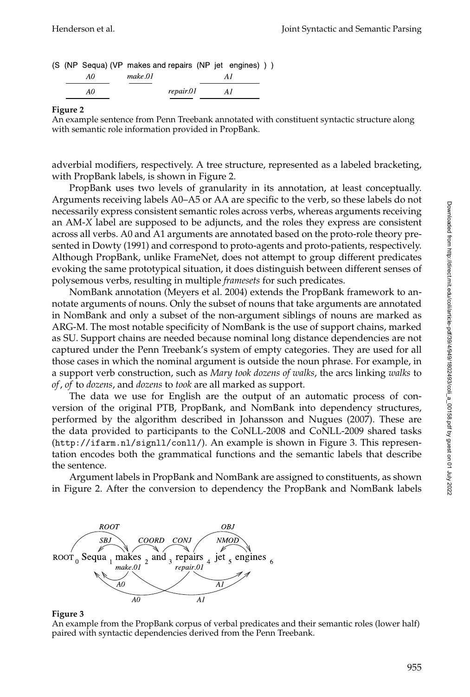| NP Sequa) (VP makes and repairs (NP jet engines) ) ) |         |           |  |     |  |
|------------------------------------------------------|---------|-----------|--|-----|--|
| Aθ                                                   | make.01 |           |  | A I |  |
| AΩ                                                   |         | repair.01 |  | ΑI  |  |
|                                                      |         |           |  |     |  |

#### **Figure 2**

 $(S \t($ 

An example sentence from Penn Treebank annotated with constituent syntactic structure along with semantic role information provided in PropBank.

adverbial modifiers, respectively. A tree structure, represented as a labeled bracketing, with PropBank labels, is shown in Figure 2.

PropBank uses two levels of granularity in its annotation, at least conceptually. Arguments receiving labels A0–A5 or AA are specific to the verb, so these labels do not necessarily express consistent semantic roles across verbs, whereas arguments receiving an AM-*X* label are supposed to be adjuncts, and the roles they express are consistent across all verbs. A0 and A1 arguments are annotated based on the proto-role theory presented in Dowty (1991) and correspond to proto-agents and proto-patients, respectively. Although PropBank, unlike FrameNet, does not attempt to group different predicates evoking the same prototypical situation, it does distinguish between different senses of polysemous verbs, resulting in multiple *framesets* for such predicates.

NomBank annotation (Meyers et al. 2004) extends the PropBank framework to annotate arguments of nouns. Only the subset of nouns that take arguments are annotated in NomBank and only a subset of the non-argument siblings of nouns are marked as ARG-M. The most notable specificity of NomBank is the use of support chains, marked as SU. Support chains are needed because nominal long distance dependencies are not captured under the Penn Treebank's system of empty categories. They are used for all those cases in which the nominal argument is outside the noun phrase. For example, in a support verb construction, such as *Mary took dozens of walks*, the arcs linking *walks* to *of*, *of* to *dozens*, and *dozens* to *took* are all marked as support.

The data we use for English are the output of an automatic process of conversion of the original PTB, PropBank, and NomBank into dependency structures, performed by the algorithm described in Johansson and Nugues (2007). These are the data provided to participants to the CoNLL-2008 and CoNLL-2009 shared tasks (http://ifarm.nl/signll/conll/). An example is shown in Figure 3. This representation encodes both the grammatical functions and the semantic labels that describe the sentence.

Argument labels in PropBank and NomBank are assigned to constituents, as shown in Figure 2. After the conversion to dependency the PropBank and NomBank labels



### **Figure 3**

An example from the PropBank corpus of verbal predicates and their semantic roles (lower half) paired with syntactic dependencies derived from the Penn Treebank.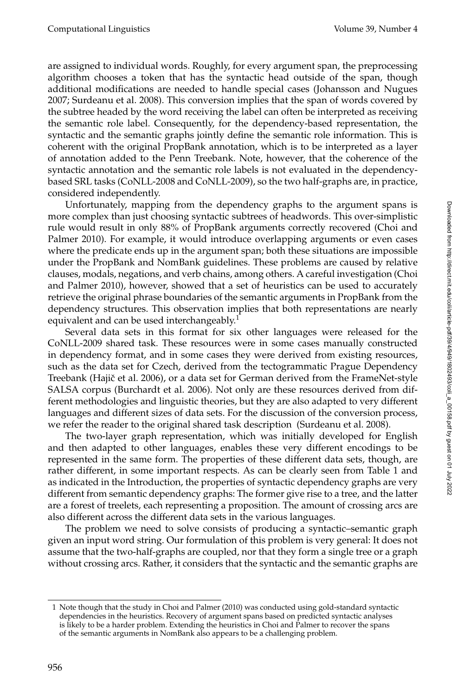are assigned to individual words. Roughly, for every argument span, the preprocessing algorithm chooses a token that has the syntactic head outside of the span, though additional modifications are needed to handle special cases (Johansson and Nugues 2007; Surdeanu et al. 2008). This conversion implies that the span of words covered by the subtree headed by the word receiving the label can often be interpreted as receiving the semantic role label. Consequently, for the dependency-based representation, the syntactic and the semantic graphs jointly define the semantic role information. This is coherent with the original PropBank annotation, which is to be interpreted as a layer of annotation added to the Penn Treebank. Note, however, that the coherence of the syntactic annotation and the semantic role labels is not evaluated in the dependencybased SRL tasks (CoNLL-2008 and CoNLL-2009), so the two half-graphs are, in practice, considered independently.

Unfortunately, mapping from the dependency graphs to the argument spans is more complex than just choosing syntactic subtrees of headwords. This over-simplistic rule would result in only 88% of PropBank arguments correctly recovered (Choi and Palmer 2010). For example, it would introduce overlapping arguments or even cases where the predicate ends up in the argument span; both these situations are impossible under the PropBank and NomBank guidelines. These problems are caused by relative clauses, modals, negations, and verb chains, among others. A careful investigation (Choi and Palmer 2010), however, showed that a set of heuristics can be used to accurately retrieve the original phrase boundaries of the semantic arguments in PropBank from the dependency structures. This observation implies that both representations are nearly equivalent and can be used interchangeably. $1$ 

Several data sets in this format for six other languages were released for the CoNLL-2009 shared task. These resources were in some cases manually constructed in dependency format, and in some cases they were derived from existing resources, such as the data set for Czech, derived from the tectogrammatic Prague Dependency Treebank (Hajič et al. 2006), or a data set for German derived from the FrameNet-style SALSA corpus (Burchardt et al. 2006). Not only are these resources derived from different methodologies and linguistic theories, but they are also adapted to very different languages and different sizes of data sets. For the discussion of the conversion process, we refer the reader to the original shared task description (Surdeanu et al. 2008).

The two-layer graph representation, which was initially developed for English and then adapted to other languages, enables these very different encodings to be represented in the same form. The properties of these different data sets, though, are rather different, in some important respects. As can be clearly seen from Table 1 and as indicated in the Introduction, the properties of syntactic dependency graphs are very different from semantic dependency graphs: The former give rise to a tree, and the latter are a forest of treelets, each representing a proposition. The amount of crossing arcs are also different across the different data sets in the various languages.

The problem we need to solve consists of producing a syntactic–semantic graph given an input word string. Our formulation of this problem is very general: It does not assume that the two-half-graphs are coupled, nor that they form a single tree or a graph without crossing arcs. Rather, it considers that the syntactic and the semantic graphs are

<sup>1</sup> Note though that the study in Choi and Palmer (2010) was conducted using gold-standard syntactic dependencies in the heuristics. Recovery of argument spans based on predicted syntactic analyses is likely to be a harder problem. Extending the heuristics in Choi and Palmer to recover the spans of the semantic arguments in NomBank also appears to be a challenging problem.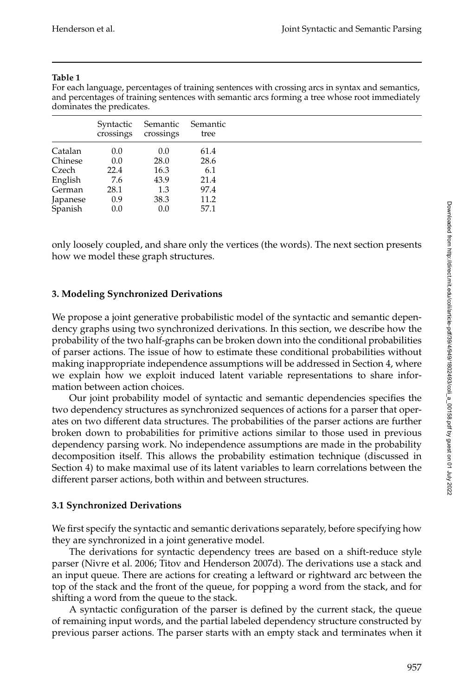For each language, percentages of training sentences with crossing arcs in syntax and semantics, and percentages of training sentences with semantic arcs forming a tree whose root immediately dominates the predicates.

|          | Syntactic<br>crossings | Semantic<br>crossings | Semantic<br>tree |
|----------|------------------------|-----------------------|------------------|
| Catalan  | 0.0                    | 0.0                   | 61.4             |
| Chinese  | 0.0                    | 28.0                  | 28.6             |
| Czech    | 22.4                   | 16.3                  | 6.1              |
| English  | 7.6                    | 43.9                  | 21.4             |
| German   | 28.1                   | 1.3                   | 97.4             |
| Japanese | 0.9                    | 38.3                  | 11.2             |
| Spanish  | 0.0                    | 0.0                   | 57.1             |

only loosely coupled, and share only the vertices (the words). The next section presents how we model these graph structures.

### **3. Modeling Synchronized Derivations**

We propose a joint generative probabilistic model of the syntactic and semantic dependency graphs using two synchronized derivations. In this section, we describe how the probability of the two half-graphs can be broken down into the conditional probabilities of parser actions. The issue of how to estimate these conditional probabilities without making inappropriate independence assumptions will be addressed in Section 4, where we explain how we exploit induced latent variable representations to share information between action choices.

Our joint probability model of syntactic and semantic dependencies specifies the two dependency structures as synchronized sequences of actions for a parser that operates on two different data structures. The probabilities of the parser actions are further broken down to probabilities for primitive actions similar to those used in previous dependency parsing work. No independence assumptions are made in the probability decomposition itself. This allows the probability estimation technique (discussed in Section 4) to make maximal use of its latent variables to learn correlations between the different parser actions, both within and between structures.

## **3.1 Synchronized Derivations**

We first specify the syntactic and semantic derivations separately, before specifying how they are synchronized in a joint generative model.

The derivations for syntactic dependency trees are based on a shift-reduce style parser (Nivre et al. 2006; Titov and Henderson 2007d). The derivations use a stack and an input queue. There are actions for creating a leftward or rightward arc between the top of the stack and the front of the queue, for popping a word from the stack, and for shifting a word from the queue to the stack.

A syntactic configuration of the parser is defined by the current stack, the queue of remaining input words, and the partial labeled dependency structure constructed by previous parser actions. The parser starts with an empty stack and terminates when it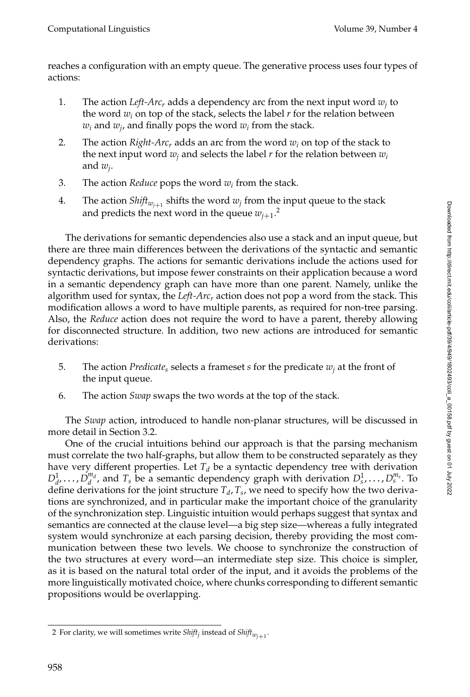reaches a configuration with an empty queue. The generative process uses four types of actions:

- 1. The action *Left-Arc<sub>r</sub>* adds a dependency arc from the next input word  $w_i$  to the word  $w_i$  on top of the stack, selects the label  $r$  for the relation between  $w_i$  and  $w_j$ , and finally pops the word  $w_i$  from the stack.
- 2. The action *Right-Arcr* adds an arc from the word *wi* on top of the stack to the next input word  $w_i$  and selects the label  $r$  for the relation between  $w_i$ and *wj*.
- 3. The action *Reduce* pops the word  $w_i$  from the stack.
- 4. The action  $\textit{Shift}_{w_{i+1}}$  shifts the word  $w_j$  from the input queue to the stack and predicts the next word in the queue  $w_{j+1}$ .<sup>2</sup>

The derivations for semantic dependencies also use a stack and an input queue, but there are three main differences between the derivations of the syntactic and semantic dependency graphs. The actions for semantic derivations include the actions used for syntactic derivations, but impose fewer constraints on their application because a word in a semantic dependency graph can have more than one parent. Namely, unlike the algorithm used for syntax, the *Left-Arcr* action does not pop a word from the stack. This modification allows a word to have multiple parents, as required for non-tree parsing. Also, the *Reduce* action does not require the word to have a parent, thereby allowing for disconnected structure. In addition, two new actions are introduced for semantic derivations:

- 5. The action *Predicates* selects a frameset *s* for the predicate *wj* at the front of the input queue.
- 6. The action *Swap* swaps the two words at the top of the stack.

The *Swap* action, introduced to handle non-planar structures, will be discussed in more detail in Section 3.2.

One of the crucial intuitions behind our approach is that the parsing mechanism must correlate the two half-graphs, but allow them to be constructed separately as they have very different properties. Let  $T_d$  be a syntactic dependency tree with derivation  $D_d^1, \ldots, D_d^{m_d}$ , and  $T_s$  be a semantic dependency graph with derivation  $D_s^1, \ldots, D_s^{m_s}$ . To define derivations for the joint structure  $T_d$ ,  $T_s$ , we need to specify how the two derivations are synchronized, and in particular make the important choice of the granularity of the synchronization step. Linguistic intuition would perhaps suggest that syntax and semantics are connected at the clause level—a big step size—whereas a fully integrated system would synchronize at each parsing decision, thereby providing the most communication between these two levels. We choose to synchronize the construction of the two structures at every word—an intermediate step size. This choice is simpler, as it is based on the natural total order of the input, and it avoids the problems of the more linguistically motivated choice, where chunks corresponding to different semantic propositions would be overlapping.

<sup>2</sup> For clarity, we will sometimes write *Shift<sub>j</sub>* instead of *Shift*<sub> $w_{i+1}$ </sub>.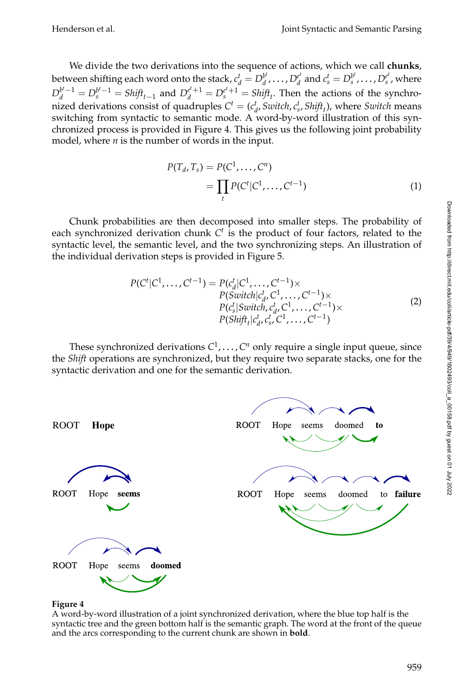We divide the two derivations into the sequence of actions, which we call **chunks**, between shifting each word onto the stack,  $c_d^t = D_d^{b^t}, \ldots, D_d^{c^t}$  and  $c_s^t = D_s^{b^t}, \ldots, D_s^{c^t}$ , where  $D_d^{b^t-1} = D_s^{b^t-1} = \text{Shift}_{t-1}$  and  $D_d^{e^t+1} = D_s^{e^t+1} = \text{Shift}_t$ . Then the actions of the synchronized derivations consist of quadruples  $C^t = (c_d^t, Switch, c_s^t, Shift_t)$ , where *Switch* means switching from syntactic to semantic mode. A word-by-word illustration of this synchronized process is provided in Figure 4. This gives us the following joint probability model, where *n* is the number of words in the input.

$$
P(T_d, T_s) = P(C^1, ..., C^n)
$$
  
= 
$$
\prod_t P(C^t | C^1, ..., C^{t-1})
$$
 (1)

Chunk probabilities are then decomposed into smaller steps. The probability of each synchronized derivation chunk  $C<sup>t</sup>$  is the product of four factors, related to the syntactic level, the semantic level, and the two synchronizing steps. An illustration of the individual derivation steps is provided in Figure 5.

$$
P(C^{t}|C^{1},...,C^{t-1}) = P(c_{d}^{t}|C^{1},...,C^{t-1}) \times P(Swith|c_{d}^{t},C^{1},...,C^{t-1}) \times P(c_{s}^{t}|Swith, c_{d}^{t}, C^{1},...,C^{t-1}) \times P(Shigh_{t}|c_{d}^{t},c_{s}^{t},C^{1},...,C^{t-1})
$$
\n(2)

These synchronized derivations  $C^1$ , ...,  $C^n$  only require a single input queue, since the *Shift* operations are synchronized, but they require two separate stacks, one for the syntactic derivation and one for the semantic derivation.



#### **Figure 4**

A word-by-word illustration of a joint synchronized derivation, where the blue top half is the syntactic tree and the green bottom half is the semantic graph. The word at the front of the queue and the arcs corresponding to the current chunk are shown in **bold**.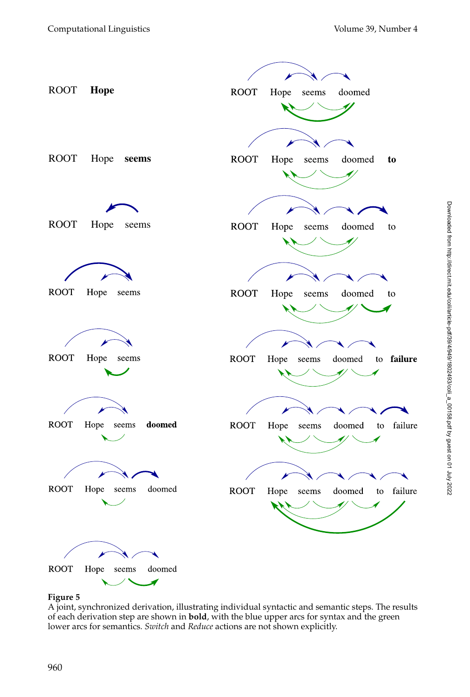

### **Figure 5**

A joint, synchronized derivation, illustrating individual syntactic and semantic steps. The results of each derivation step are shown in **bold**, with the blue upper arcs for syntax and the green lower arcs for semantics. *Switch* and *Reduce* actions are not shown explicitly.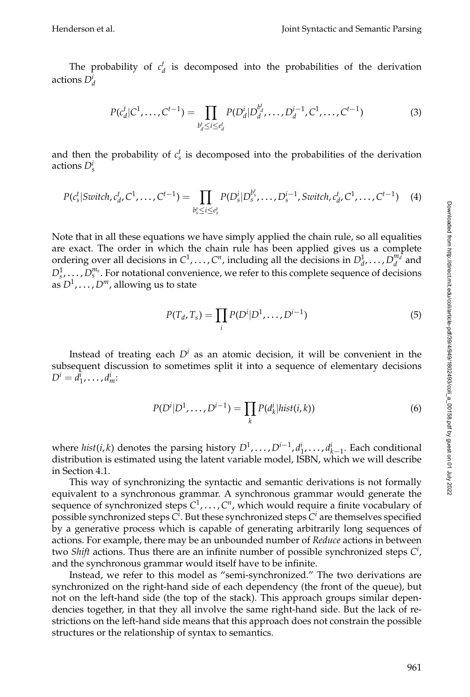The probability of  $c_d^t$  is decomposed into the probabilities of the derivation actions *Di d*

$$
P(c_d^t | C^1, \dots, C^{t-1}) = \prod_{b_d^t \le i \le e_d^t} P(D_d^i | D_d^{b_d^t}, \dots, D_d^{i-1}, C^1, \dots, C^{t-1})
$$
(3)

and then the probability of  $c_s^t$  is decomposed into the probabilities of the derivation actions *Di s*

$$
P(c_s^t | Switch, c_d^t, C^1, \dots, C^{t-1}) = \prod_{b_s^t \leq i \leq e_s^t} P(D_s^i | D_s^{b_s^t}, \dots, D_s^{i-1}, Switch, c_d^t, C^1, \dots, C^{t-1}) \quad (4)
$$

Note that in all these equations we have simply applied the chain rule, so all equalities are exact. The order in which the chain rule has been applied gives us a complete ordering over all decisions in  $C^1, \ldots, C^n$ , including all the decisions in  $D_d^1, \ldots, D_d^{m_d^1}$  and  $D_s^1, \ldots, D_s^{m_s}$ . For notational convenience, we refer to this complete sequence of decisions as  $D^1, \ldots, D^m$ , allowing us to state

$$
P(T_d, T_s) = \prod_i P(D^i | D^1, \dots, D^{i-1})
$$
\n(5)

Instead of treating each  $D<sup>i</sup>$  as an atomic decision, it will be convenient in the subsequent discussion to sometimes split it into a sequence of elementary decisions  $D^i = d_1^i, \ldots, d_m^i$ :

$$
P(Di|D1,...,Di-1) = \prod_{k} P(dik|hist(i,k))
$$
\n(6)

where *hist*(*i*, *k*) denotes the parsing history  $D^1, \ldots, D^{i-1}, d_1^i, \ldots, d_{k-1}^i$ . Each conditional distribution is estimated using the latent variable model, ISBN, which we will describe in Section 4.1.

This way of synchronizing the syntactic and semantic derivations is not formally equivalent to a synchronous grammar. A synchronous grammar would generate the sequence of synchronized steps  $C^1$ , ...,  $C^n$ , which would require a finite vocabulary of possible synchronized steps  $C^i$ . But these synchronized steps  $C^i$  are themselves specified by a generative process which is capable of generating arbitrarily long sequences of actions. For example, there may be an unbounded number of *Reduce* actions in between two *Shift* actions. Thus there are an infinite number of possible synchronized steps *Ci* , and the synchronous grammar would itself have to be infinite.

Instead, we refer to this model as "semi-synchronized." The two derivations are synchronized on the right-hand side of each dependency (the front of the queue), but not on the left-hand side (the top of the stack). This approach groups similar dependencies together, in that they all involve the same right-hand side. But the lack of restrictions on the left-hand side means that this approach does not constrain the possible structures or the relationship of syntax to semantics.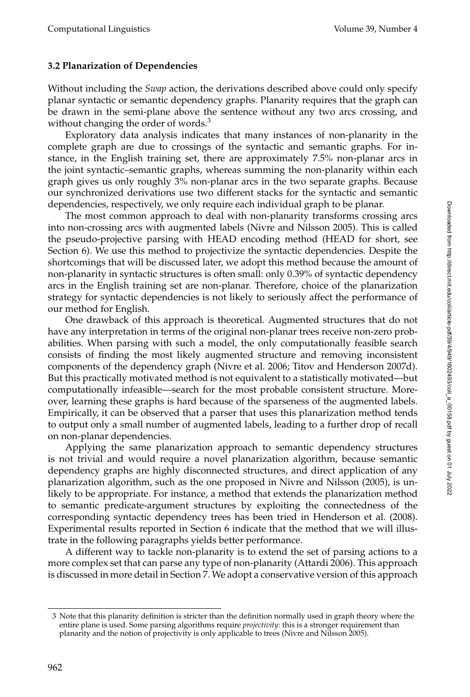### **3.2 Planarization of Dependencies**

Without including the *Swap* action, the derivations described above could only specify planar syntactic or semantic dependency graphs. Planarity requires that the graph can be drawn in the semi-plane above the sentence without any two arcs crossing, and without changing the order of words.<sup>3</sup>

Exploratory data analysis indicates that many instances of non-planarity in the complete graph are due to crossings of the syntactic and semantic graphs. For instance, in the English training set, there are approximately 7.5% non-planar arcs in the joint syntactic–semantic graphs, whereas summing the non-planarity within each graph gives us only roughly 3% non-planar arcs in the two separate graphs. Because our synchronized derivations use two different stacks for the syntactic and semantic dependencies, respectively, we only require each individual graph to be planar.

The most common approach to deal with non-planarity transforms crossing arcs into non-crossing arcs with augmented labels (Nivre and Nilsson 2005). This is called the pseudo-projective parsing with HEAD encoding method (HEAD for short, see Section 6). We use this method to projectivize the syntactic dependencies. Despite the shortcomings that will be discussed later, we adopt this method because the amount of non-planarity in syntactic structures is often small: only 0.39% of syntactic dependency arcs in the English training set are non-planar. Therefore, choice of the planarization strategy for syntactic dependencies is not likely to seriously affect the performance of our method for English.

One drawback of this approach is theoretical. Augmented structures that do not have any interpretation in terms of the original non-planar trees receive non-zero probabilities. When parsing with such a model, the only computationally feasible search consists of finding the most likely augmented structure and removing inconsistent components of the dependency graph (Nivre et al. 2006; Titov and Henderson 2007d). But this practically motivated method is not equivalent to a statistically motivated—but computationally infeasible—search for the most probable consistent structure. Moreover, learning these graphs is hard because of the sparseness of the augmented labels. Empirically, it can be observed that a parser that uses this planarization method tends to output only a small number of augmented labels, leading to a further drop of recall on non-planar dependencies.

Applying the same planarization approach to semantic dependency structures is not trivial and would require a novel planarization algorithm, because semantic dependency graphs are highly disconnected structures, and direct application of any planarization algorithm, such as the one proposed in Nivre and Nilsson (2005), is unlikely to be appropriate. For instance, a method that extends the planarization method to semantic predicate-argument structures by exploiting the connectedness of the corresponding syntactic dependency trees has been tried in Henderson et al. (2008). Experimental results reported in Section 6 indicate that the method that we will illustrate in the following paragraphs yields better performance.

A different way to tackle non-planarity is to extend the set of parsing actions to a more complex set that can parse any type of non-planarity (Attardi 2006). This approach is discussed in more detail in Section 7. We adopt a conservative version of this approach

<sup>3</sup> Note that this planarity definition is stricter than the definition normally used in graph theory where the entire plane is used. Some parsing algorithms require *projectivity*: this is a stronger requirement than planarity and the notion of projectivity is only applicable to trees (Nivre and Nilsson 2005).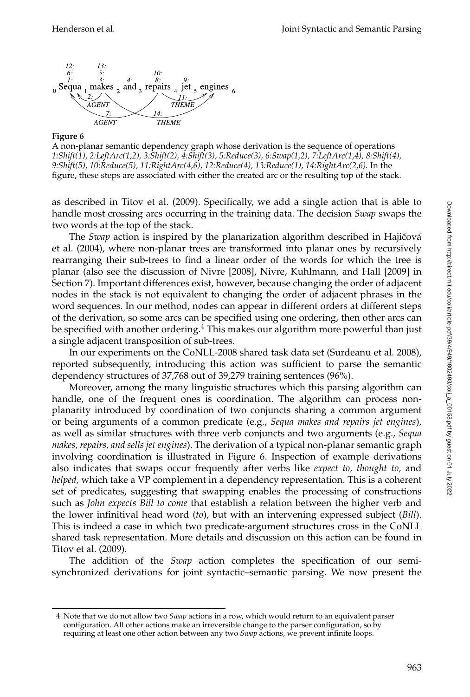

#### **Figure 6**

A non-planar semantic dependency graph whose derivation is the sequence of operations *1:Shift(1), 2:LeftArc(1,2), 3:Shift(2), 4:Shift(3), 5:Reduce(3), 6:Swap(1,2), 7:LeftArc(1,4), 8:Shift(4), 9:Shift(5), 10:Reduce(5), 11:RightArc(4,6), 12:Reduce(4), 13:Reduce(1), 14:RightArc(2,6).* In the figure, these steps are associated with either the created arc or the resulting top of the stack.

as described in Titov et al. (2009). Specifically, we add a single action that is able to handle most crossing arcs occurring in the training data. The decision *Swap* swaps the two words at the top of the stack.

The *Swap* action is inspired by the planarization algorithm described in Hajičová et al. (2004), where non-planar trees are transformed into planar ones by recursively rearranging their sub-trees to find a linear order of the words for which the tree is planar (also see the discussion of Nivre [2008], Nivre, Kuhlmann, and Hall [2009] in Section 7). Important differences exist, however, because changing the order of adjacent nodes in the stack is not equivalent to changing the order of adjacent phrases in the word sequences. In our method, nodes can appear in different orders at different steps of the derivation, so some arcs can be specified using one ordering, then other arcs can be specified with another ordering.<sup>4</sup> This makes our algorithm more powerful than just a single adjacent transposition of sub-trees.

In our experiments on the CoNLL-2008 shared task data set (Surdeanu et al. 2008), reported subsequently, introducing this action was sufficient to parse the semantic dependency structures of 37,768 out of 39,279 training sentences (96%).

Moreover, among the many linguistic structures which this parsing algorithm can handle, one of the frequent ones is coordination. The algorithm can process nonplanarity introduced by coordination of two conjuncts sharing a common argument or being arguments of a common predicate (e.g., *Sequa makes and repairs jet engines*), as well as similar structures with three verb conjuncts and two arguments (e.g., *Sequa makes, repairs, and sells jet engines*). The derivation of a typical non-planar semantic graph involving coordination is illustrated in Figure 6. Inspection of example derivations also indicates that swaps occur frequently after verbs like *expect to, thought to,* and *helped,* which take a VP complement in a dependency representation. This is a coherent set of predicates, suggesting that swapping enables the processing of constructions such as *John expects Bill to come* that establish a relation between the higher verb and the lower infinitival head word (*to*), but with an intervening expressed subject (*Bill*). This is indeed a case in which two predicate-argument structures cross in the CoNLL shared task representation. More details and discussion on this action can be found in Titov et al. (2009).

The addition of the *Swap* action completes the specification of our semisynchronized derivations for joint syntactic–semantic parsing. We now present the

<sup>4</sup> Note that we do not allow two *Swap* actions in a row, which would return to an equivalent parser configuration. All other actions make an irreversible change to the parser configuration, so by requiring at least one other action between any two *Swap* actions, we prevent infinite loops.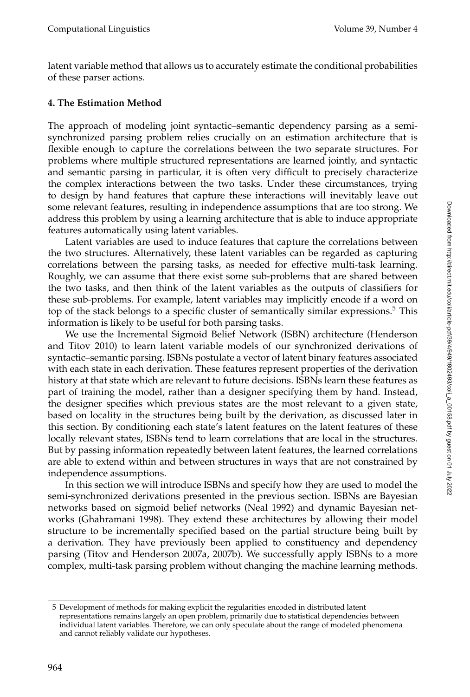latent variable method that allows us to accurately estimate the conditional probabilities of these parser actions.

# **4. The Estimation Method**

The approach of modeling joint syntactic–semantic dependency parsing as a semisynchronized parsing problem relies crucially on an estimation architecture that is flexible enough to capture the correlations between the two separate structures. For problems where multiple structured representations are learned jointly, and syntactic and semantic parsing in particular, it is often very difficult to precisely characterize the complex interactions between the two tasks. Under these circumstances, trying to design by hand features that capture these interactions will inevitably leave out some relevant features, resulting in independence assumptions that are too strong. We address this problem by using a learning architecture that is able to induce appropriate features automatically using latent variables.

Latent variables are used to induce features that capture the correlations between the two structures. Alternatively, these latent variables can be regarded as capturing correlations between the parsing tasks, as needed for effective multi-task learning. Roughly, we can assume that there exist some sub-problems that are shared between the two tasks, and then think of the latent variables as the outputs of classifiers for these sub-problems. For example, latent variables may implicitly encode if a word on top of the stack belongs to a specific cluster of semantically similar expressions.<sup>5</sup> This information is likely to be useful for both parsing tasks.

We use the Incremental Sigmoid Belief Network (ISBN) architecture (Henderson and Titov 2010) to learn latent variable models of our synchronized derivations of syntactic–semantic parsing. ISBNs postulate a vector of latent binary features associated with each state in each derivation. These features represent properties of the derivation history at that state which are relevant to future decisions. ISBNs learn these features as part of training the model, rather than a designer specifying them by hand. Instead, the designer specifies which previous states are the most relevant to a given state, based on locality in the structures being built by the derivation, as discussed later in this section. By conditioning each state's latent features on the latent features of these locally relevant states, ISBNs tend to learn correlations that are local in the structures. But by passing information repeatedly between latent features, the learned correlations are able to extend within and between structures in ways that are not constrained by independence assumptions.

In this section we will introduce ISBNs and specify how they are used to model the semi-synchronized derivations presented in the previous section. ISBNs are Bayesian networks based on sigmoid belief networks (Neal 1992) and dynamic Bayesian networks (Ghahramani 1998). They extend these architectures by allowing their model structure to be incrementally specified based on the partial structure being built by a derivation. They have previously been applied to constituency and dependency parsing (Titov and Henderson 2007a, 2007b). We successfully apply ISBNs to a more complex, multi-task parsing problem without changing the machine learning methods.

<sup>5</sup> Development of methods for making explicit the regularities encoded in distributed latent representations remains largely an open problem, primarily due to statistical dependencies between individual latent variables. Therefore, we can only speculate about the range of modeled phenomena and cannot reliably validate our hypotheses.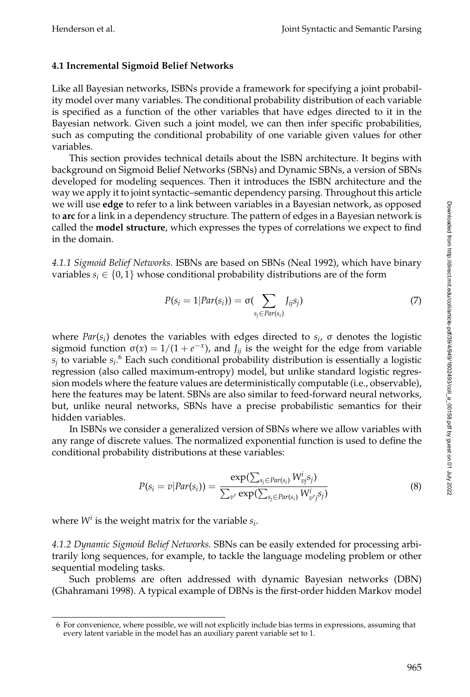# **4.1 Incremental Sigmoid Belief Networks**

Like all Bayesian networks, ISBNs provide a framework for specifying a joint probability model over many variables. The conditional probability distribution of each variable is specified as a function of the other variables that have edges directed to it in the Bayesian network. Given such a joint model, we can then infer specific probabilities, such as computing the conditional probability of one variable given values for other variables.

This section provides technical details about the ISBN architecture. It begins with background on Sigmoid Belief Networks (SBNs) and Dynamic SBNs, a version of SBNs developed for modeling sequences. Then it introduces the ISBN architecture and the way we apply it to joint syntactic–semantic dependency parsing. Throughout this article we will use **edge** to refer to a link between variables in a Bayesian network, as opposed to **arc** for a link in a dependency structure. The pattern of edges in a Bayesian network is called the **model structure**, which expresses the types of correlations we expect to find in the domain.

*4.1.1 Sigmoid Belief Networks.* ISBNs are based on SBNs (Neal 1992), which have binary variables  $s_i \in \{0,1\}$  whose conditional probability distributions are of the form

$$
P(s_i = 1 | Par(s_i)) = \sigma(\sum_{s_j \in Par(s_i)} J_{ij} s_j)
$$
\n
$$
(7)
$$

where  $Par(s_i)$  denotes the variables with edges directed to  $s_i$ ,  $\sigma$  denotes the logistic sigmoid function  $\sigma(x) = 1/(1 + e^{-x})$ , and  $J_{ij}$  is the weight for the edge from variable  $s_j$  to variable  $s_i$ .<sup>6</sup> Each such conditional probability distribution is essentially a logistic regression (also called maximum-entropy) model, but unlike standard logistic regression models where the feature values are deterministically computable (i.e., observable), here the features may be latent. SBNs are also similar to feed-forward neural networks, but, unlike neural networks, SBNs have a precise probabilistic semantics for their hidden variables.

In ISBNs we consider a generalized version of SBNs where we allow variables with any range of discrete values. The normalized exponential function is used to define the conditional probability distributions at these variables:

$$
P(s_i = v | Par(s_i)) = \frac{\exp(\sum_{s_j \in Par(s_i)} W_{vj}^i s_j)}{\sum_{v'} \exp(\sum_{s_j \in Par(s_i)} W_{v'j}^i s_j)}
$$
(8)

where  $W^i$  is the weight matrix for the variable  $s_i$ .

*4.1.2 Dynamic Sigmoid Belief Networks.* SBNs can be easily extended for processing arbitrarily long sequences, for example, to tackle the language modeling problem or other sequential modeling tasks.

Such problems are often addressed with dynamic Bayesian networks (DBN) (Ghahramani 1998). A typical example of DBNs is the first-order hidden Markov model

<sup>6</sup> For convenience, where possible, we will not explicitly include bias terms in expressions, assuming that every latent variable in the model has an auxiliary parent variable set to 1.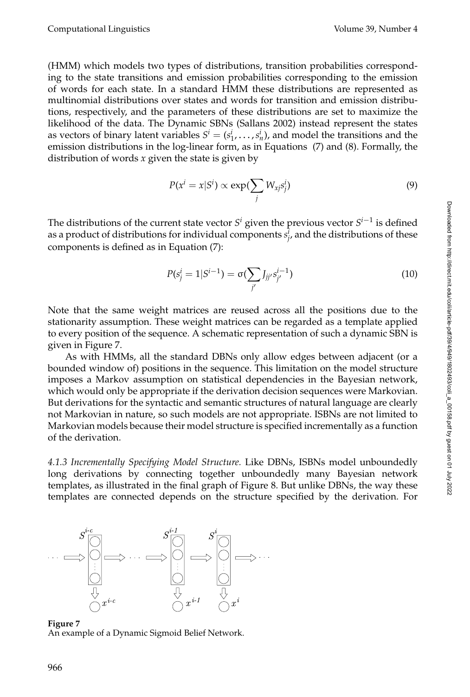(HMM) which models two types of distributions, transition probabilities corresponding to the state transitions and emission probabilities corresponding to the emission of words for each state. In a standard HMM these distributions are represented as multinomial distributions over states and words for transition and emission distributions, respectively, and the parameters of these distributions are set to maximize the likelihood of the data. The Dynamic SBNs (Sallans 2002) instead represent the states as vectors of binary latent variables  $S^i = (s_1^i, \ldots, s_n^i)$ , and model the transitions and the emission distributions in the log-linear form, as in Equations (7) and (8). Formally, the distribution of words *x* given the state is given by

$$
P(x^{i} = x | S^{i}) \propto \exp(\sum_{j} W_{xj} s_{j}^{i})
$$
\n(9)

The distributions of the current state vector *Si* given the previous vector *Si*−<sup>1</sup> is defined as a product of distributions for individual components  $s^i_j$ , and the distributions of these components is defined as in Equation (7):

$$
P(s_j^i = 1|S^{i-1}) = \sigma(\sum_{j'} J_{jj'} s_{j'}^{i-1})
$$
\n(10)

Note that the same weight matrices are reused across all the positions due to the stationarity assumption. These weight matrices can be regarded as a template applied to every position of the sequence. A schematic representation of such a dynamic SBN is given in Figure 7.

As with HMMs, all the standard DBNs only allow edges between adjacent (or a bounded window of) positions in the sequence. This limitation on the model structure imposes a Markov assumption on statistical dependencies in the Bayesian network, which would only be appropriate if the derivation decision sequences were Markovian. But derivations for the syntactic and semantic structures of natural language are clearly not Markovian in nature, so such models are not appropriate. ISBNs are not limited to Markovian models because their model structure is specified incrementally as a function of the derivation.

*4.1.3 Incrementally Specifying Model Structure.* Like DBNs, ISBNs model unboundedly long derivations by connecting together unboundedly many Bayesian network templates, as illustrated in the final graph of Figure 8. But unlike DBNs, the way these templates are connected depends on the structure specified by the derivation. For



**Figure 7**

An example of a Dynamic Sigmoid Belief Network.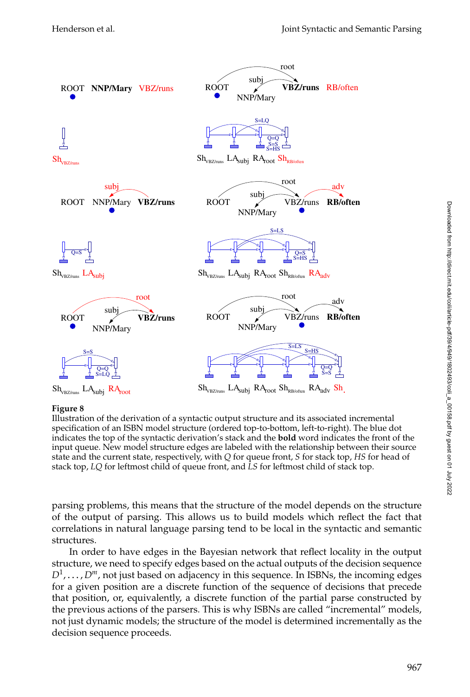

#### **Figure 8**

Illustration of the derivation of a syntactic output structure and its associated incremental specification of an ISBN model structure (ordered top-to-bottom, left-to-right). The blue dot indicates the top of the syntactic derivation's stack and the **bold** word indicates the front of the input queue. New model structure edges are labeled with the relationship between their source state and the current state, respectively, with *Q* for queue front, *S* for stack top, *HS* for head of stack top, *LQ* for leftmost child of queue front, and *LS* for leftmost child of stack top.

parsing problems, this means that the structure of the model depends on the structure of the output of parsing. This allows us to build models which reflect the fact that correlations in natural language parsing tend to be local in the syntactic and semantic structures.

In order to have edges in the Bayesian network that reflect locality in the output structure, we need to specify edges based on the actual outputs of the decision sequence  $D^1, \ldots, D^m$ , not just based on adjacency in this sequence. In ISBNs, the incoming edges for a given position are a discrete function of the sequence of decisions that precede that position, or, equivalently, a discrete function of the partial parse constructed by the previous actions of the parsers. This is why ISBNs are called "incremental" models, not just dynamic models; the structure of the model is determined incrementally as the decision sequence proceeds.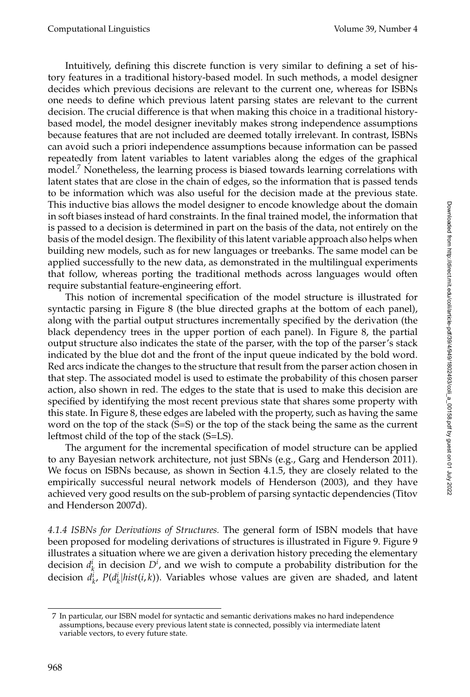Intuitively, defining this discrete function is very similar to defining a set of history features in a traditional history-based model. In such methods, a model designer decides which previous decisions are relevant to the current one, whereas for ISBNs one needs to define which previous latent parsing states are relevant to the current decision. The crucial difference is that when making this choice in a traditional historybased model, the model designer inevitably makes strong independence assumptions because features that are not included are deemed totally irrelevant. In contrast, ISBNs can avoid such a priori independence assumptions because information can be passed repeatedly from latent variables to latent variables along the edges of the graphical model.<sup>7</sup> Nonetheless, the learning process is biased towards learning correlations with latent states that are close in the chain of edges, so the information that is passed tends to be information which was also useful for the decision made at the previous state. This inductive bias allows the model designer to encode knowledge about the domain in soft biases instead of hard constraints. In the final trained model, the information that is passed to a decision is determined in part on the basis of the data, not entirely on the basis of the model design. The flexibility of this latent variable approach also helps when building new models, such as for new languages or treebanks. The same model can be applied successfully to the new data, as demonstrated in the multilingual experiments that follow, whereas porting the traditional methods across languages would often require substantial feature-engineering effort.

This notion of incremental specification of the model structure is illustrated for syntactic parsing in Figure 8 (the blue directed graphs at the bottom of each panel), along with the partial output structures incrementally specified by the derivation (the black dependency trees in the upper portion of each panel). In Figure 8, the partial output structure also indicates the state of the parser, with the top of the parser's stack indicated by the blue dot and the front of the input queue indicated by the bold word. Red arcs indicate the changes to the structure that result from the parser action chosen in that step. The associated model is used to estimate the probability of this chosen parser action, also shown in red. The edges to the state that is used to make this decision are specified by identifying the most recent previous state that shares some property with this state. In Figure 8, these edges are labeled with the property, such as having the same word on the top of the stack (S=S) or the top of the stack being the same as the current leftmost child of the top of the stack (S=LS).

The argument for the incremental specification of model structure can be applied to any Bayesian network architecture, not just SBNs (e.g., Garg and Henderson 2011). We focus on ISBNs because, as shown in Section 4.1.5, they are closely related to the empirically successful neural network models of Henderson (2003), and they have achieved very good results on the sub-problem of parsing syntactic dependencies (Titov and Henderson 2007d).

*4.1.4 ISBNs for Derivations of Structures.* The general form of ISBN models that have been proposed for modeling derivations of structures is illustrated in Figure 9. Figure 9 illustrates a situation where we are given a derivation history preceding the elementary decision  $d_k^i$  in decision  $D^i$ , and we wish to compute a probability distribution for the decision *di <sup>k</sup>*, *<sup>P</sup>*(*di <sup>k</sup>*|*hist*(*i*, *k*)). Variables whose values are given are shaded, and latent

<sup>7</sup> In particular, our ISBN model for syntactic and semantic derivations makes no hard independence assumptions, because every previous latent state is connected, possibly via intermediate latent variable vectors, to every future state.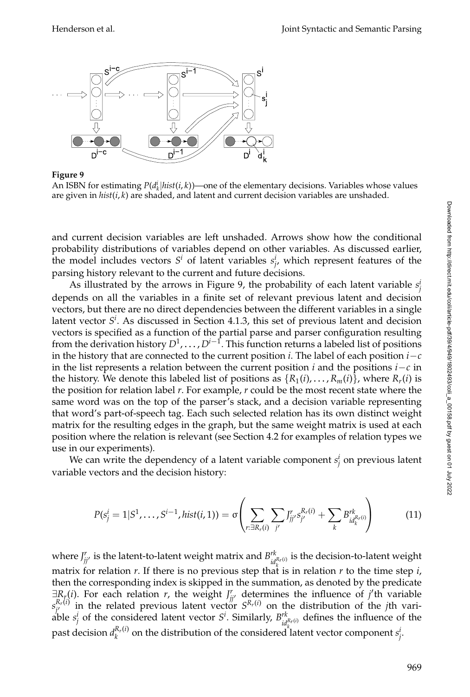

**Figure 9**

An ISBN for estimating  $P(d_k^i|hist(i,k))$ —one of the elementary decisions. Variables whose values are given in *hist*(*i*, *k*) are shaded, and latent and current decision variables are unshaded.

and current decision variables are left unshaded. Arrows show how the conditional probability distributions of variables depend on other variables. As discussed earlier, the model includes vectors  $S^i$  of latent variables  $s^i_j$ , which represent features of the parsing history relevant to the current and future decisions.

As illustrated by the arrows in Figure 9, the probability of each latent variable  $s_j^i$ depends on all the variables in a finite set of relevant previous latent and decision vectors, but there are no direct dependencies between the different variables in a single latent vector *Si* . As discussed in Section 4.1.3, this set of previous latent and decision vectors is specified as a function of the partial parse and parser configuration resulting from the derivation history  $D^1, \ldots, D^{i-1}$ . This function returns a labeled list of positions in the history that are connected to the current position *i*. The label of each position *i*−*c* in the list represents a relation between the current position *i* and the positions *i*−*c* in the history. We denote this labeled list of positions as  $\{R_1(i), \ldots, R_m(i)\}\)$ , where  $R_r(i)$  is the position for relation label *r*. For example, *r* could be the most recent state where the same word was on the top of the parser's stack, and a decision variable representing that word's part-of-speech tag. Each such selected relation has its own distinct weight matrix for the resulting edges in the graph, but the same weight matrix is used at each position where the relation is relevant (see Section 4.2 for examples of relation types we use in our experiments).

We can write the dependency of a latent variable component  $s_j^i$  on previous latent variable vectors and the decision history:

$$
P(s_j^i = 1 | S^1, \dots, S^{i-1}, hist(i, 1)) = \sigma \left( \sum_{r: \exists R_r(i)} \sum_{j'} J_{jj'}^r s_{j'}^{R_r(i)} + \sum_k B_{id_k^{R_r(i)}}^{rk} \right)
$$
(11)

where  $J_{jj'}^r$  is the latent-to-latent weight matrix and  $B_{id_k^k(r(i))}^{rk}$  is the decision-to-latent weight matrix for relation *r*. If there is no previous step that is in relation *r* to the time step *i*, then the corresponding index is skipped in the summation, as denoted by the predicate  $\exists R_r(i)$ . For each relation *r*, the weight  $J_{jj'}^r$  determines the influence of *j*'th variable  $s_{l'}^{R_r(i)}$  in the related previous latent vector  $S^{R_r(i)}$  on the distribution of the *j*th variable  $s_j^i$  of the considered latent vector  $S^i$ . Similarly,  $B^{rk}_{id_k^{R_r(i)}}$  defines the influence of the past decision  $d_k^{R_r(i)}$  on the distribution of the considered latent vector component  $s_j^i$ .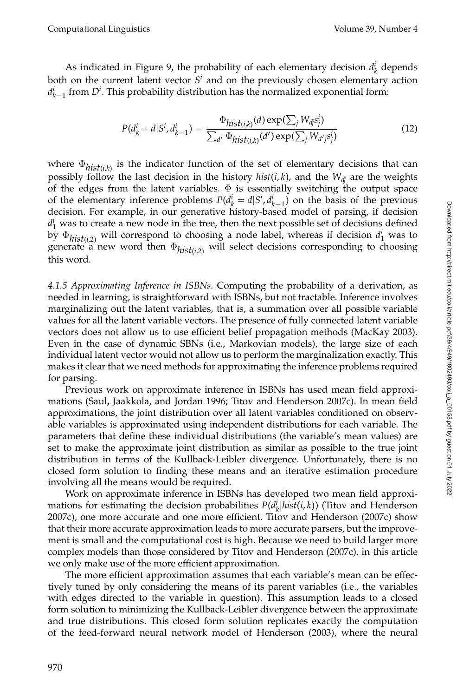As indicated in Figure 9, the probability of each elementary decision  $d_k^i$  depends both on the current latent vector  $S<sup>i</sup>$  and on the previously chosen elementary action  $d_{k-1}^i$  from  $D^i$ . This probability distribution has the normalized exponential form:

$$
P(d_k^i = d|S^i, d_{k-1}^i) = \frac{\Phi_{hist(i,k)}(d) \exp(\sum_j W_{dj}s_j^i)}{\sum_{d'} \Phi_{hist(i,k)}(d') \exp(\sum_j W_{d'j}s_j^i)}
$$
(12)

where  $\Phi_{hist(i,k)}$  is the indicator function of the set of elementary decisions that can possibly follow the last decision in the history  $hist(i, k)$ , and the  $W_{dj}$  are the weights of the edges from the latent variables.  $\Phi$  is essentially switching the output space of the elementary inference problems  $P(d_k^i = d | S^i, d_{k-1}^i)$  on the basis of the previous decision. For example, in our generative history-based model of parsing, if decision  $d_1^i$  was to create a new node in the tree, then the next possible set of decisions defined by  $\Phi_{hist(i,2)}$  will correspond to choosing a node label, whereas if decision  $d_1^i$  was to generate a new word then  $\Phi_{hist(i,2)}$  will select decisions corresponding to choosing this word.

*4.1.5 Approximating Inference in ISBNs.* Computing the probability of a derivation, as needed in learning, is straightforward with ISBNs, but not tractable. Inference involves marginalizing out the latent variables, that is, a summation over all possible variable values for all the latent variable vectors. The presence of fully connected latent variable vectors does not allow us to use efficient belief propagation methods (MacKay 2003). Even in the case of dynamic SBNs (i.e., Markovian models), the large size of each individual latent vector would not allow us to perform the marginalization exactly. This makes it clear that we need methods for approximating the inference problems required for parsing.

Previous work on approximate inference in ISBNs has used mean field approximations (Saul, Jaakkola, and Jordan 1996; Titov and Henderson 2007c). In mean field approximations, the joint distribution over all latent variables conditioned on observable variables is approximated using independent distributions for each variable. The parameters that define these individual distributions (the variable's mean values) are set to make the approximate joint distribution as similar as possible to the true joint distribution in terms of the Kullback-Leibler divergence. Unfortunately, there is no closed form solution to finding these means and an iterative estimation procedure involving all the means would be required.

Work on approximate inference in ISBNs has developed two mean field approximations for estimating the decision probabilities  $P(d_k^i|hist(i,k))$  (Titov and Henderson 2007c), one more accurate and one more efficient. Titov and Henderson (2007c) show that their more accurate approximation leads to more accurate parsers, but the improvement is small and the computational cost is high. Because we need to build larger more complex models than those considered by Titov and Henderson (2007c), in this article we only make use of the more efficient approximation.

The more efficient approximation assumes that each variable's mean can be effectively tuned by only considering the means of its parent variables (i.e., the variables with edges directed to the variable in question). This assumption leads to a closed form solution to minimizing the Kullback-Leibler divergence between the approximate and true distributions. This closed form solution replicates exactly the computation of the feed-forward neural network model of Henderson (2003), where the neural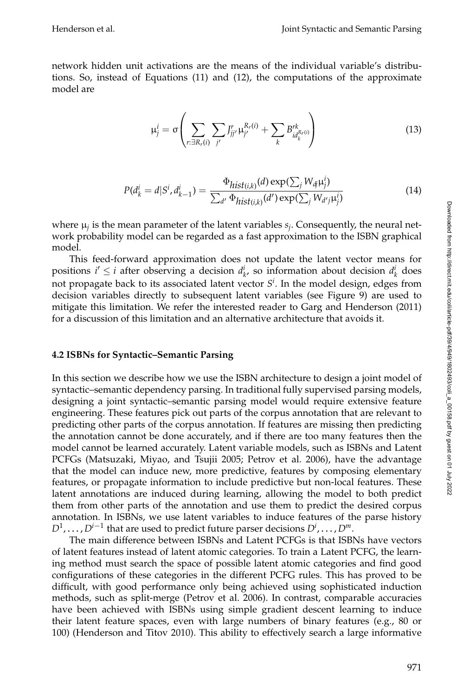network hidden unit activations are the means of the individual variable's distributions. So, instead of Equations (11) and (12), the computations of the approximate model are

$$
\mu_j^i = \sigma \left( \sum_{r: \exists R_r(i)} \sum_{j'} J_{jj'}^r \mu_{j'}^{R_r(i)} + \sum_k B_{id_k^{R_r(i)}}^{rk} \right)
$$
(13)

$$
P(d_k^i = d|S^i, d_{k-1}^i) = \frac{\Phi_{hist(i,k)}(d) \exp(\sum_j W_{dj} \mu_j^i)}{\sum_{d'} \Phi_{hist(i,k)}(d') \exp(\sum_j W_{d'j} \mu_j^i)}
$$
(14)

where  $\mu_i$  is the mean parameter of the latent variables  $s_i$ . Consequently, the neural network probability model can be regarded as a fast approximation to the ISBN graphical model.

This feed-forward approximation does not update the latent vector means for positions  $i' \leq i$  after observing a decision  $d_k^i$ , so information about decision  $d_k^i$  does not propagate back to its associated latent vector *Si* . In the model design, edges from decision variables directly to subsequent latent variables (see Figure 9) are used to mitigate this limitation. We refer the interested reader to Garg and Henderson (2011) for a discussion of this limitation and an alternative architecture that avoids it.

## **4.2 ISBNs for Syntactic–Semantic Parsing**

In this section we describe how we use the ISBN architecture to design a joint model of syntactic–semantic dependency parsing. In traditional fully supervised parsing models, designing a joint syntactic–semantic parsing model would require extensive feature engineering. These features pick out parts of the corpus annotation that are relevant to predicting other parts of the corpus annotation. If features are missing then predicting the annotation cannot be done accurately, and if there are too many features then the model cannot be learned accurately. Latent variable models, such as ISBNs and Latent PCFGs (Matsuzaki, Miyao, and Tsujii 2005; Petrov et al. 2006), have the advantage that the model can induce new, more predictive, features by composing elementary features, or propagate information to include predictive but non-local features. These latent annotations are induced during learning, allowing the model to both predict them from other parts of the annotation and use them to predict the desired corpus annotation. In ISBNs, we use latent variables to induce features of the parse history *D*1, ... , *Di*−<sup>1</sup> that are used to predict future parser decisions *Di* , ... , *Dm*.

The main difference between ISBNs and Latent PCFGs is that ISBNs have vectors of latent features instead of latent atomic categories. To train a Latent PCFG, the learning method must search the space of possible latent atomic categories and find good configurations of these categories in the different PCFG rules. This has proved to be difficult, with good performance only being achieved using sophisticated induction methods, such as split-merge (Petrov et al. 2006). In contrast, comparable accuracies have been achieved with ISBNs using simple gradient descent learning to induce their latent feature spaces, even with large numbers of binary features (e.g., 80 or 100) (Henderson and Titov 2010). This ability to effectively search a large informative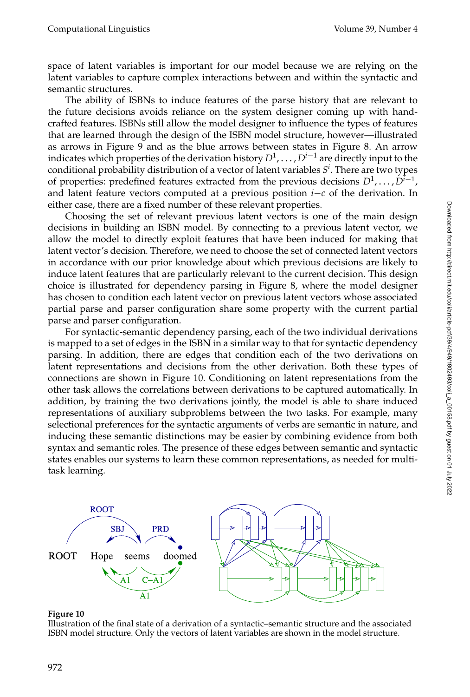space of latent variables is important for our model because we are relying on the latent variables to capture complex interactions between and within the syntactic and semantic structures.

The ability of ISBNs to induce features of the parse history that are relevant to the future decisions avoids reliance on the system designer coming up with handcrafted features. ISBNs still allow the model designer to influence the types of features that are learned through the design of the ISBN model structure, however—illustrated as arrows in Figure 9 and as the blue arrows between states in Figure 8. An arrow indicates which properties of the derivation history *D*1, ... , *Di*−<sup>1</sup> are directly input to the conditional probability distribution of a vector of latent variables *Si* . There are two types of properties: predefined features extracted from the previous decisions  $D^1, \ldots, D^{i-1}$ , and latent feature vectors computed at a previous position *i*−*c* of the derivation. In either case, there are a fixed number of these relevant properties.

Choosing the set of relevant previous latent vectors is one of the main design decisions in building an ISBN model. By connecting to a previous latent vector, we allow the model to directly exploit features that have been induced for making that latent vector's decision. Therefore, we need to choose the set of connected latent vectors in accordance with our prior knowledge about which previous decisions are likely to induce latent features that are particularly relevant to the current decision. This design choice is illustrated for dependency parsing in Figure 8, where the model designer has chosen to condition each latent vector on previous latent vectors whose associated partial parse and parser configuration share some property with the current partial parse and parser configuration.

For syntactic-semantic dependency parsing, each of the two individual derivations is mapped to a set of edges in the ISBN in a similar way to that for syntactic dependency parsing. In addition, there are edges that condition each of the two derivations on latent representations and decisions from the other derivation. Both these types of connections are shown in Figure 10. Conditioning on latent representations from the other task allows the correlations between derivations to be captured automatically. In addition, by training the two derivations jointly, the model is able to share induced representations of auxiliary subproblems between the two tasks. For example, many selectional preferences for the syntactic arguments of verbs are semantic in nature, and inducing these semantic distinctions may be easier by combining evidence from both syntax and semantic roles. The presence of these edges between semantic and syntactic states enables our systems to learn these common representations, as needed for multitask learning.



#### **Figure 10**

Illustration of the final state of a derivation of a syntactic–semantic structure and the associated ISBN model structure. Only the vectors of latent variables are shown in the model structure.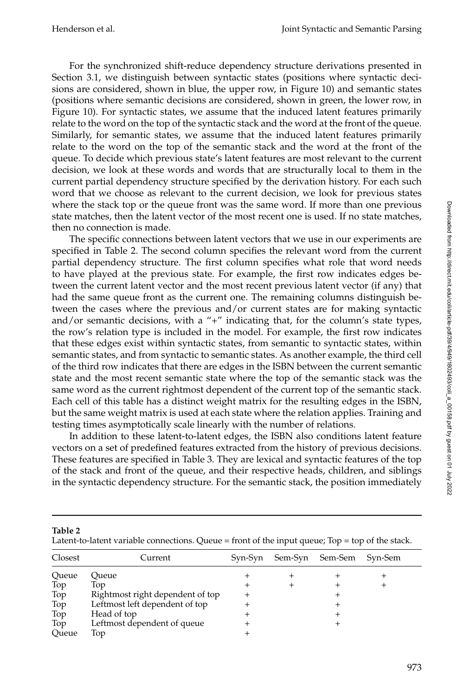For the synchronized shift-reduce dependency structure derivations presented in Section 3.1, we distinguish between syntactic states (positions where syntactic decisions are considered, shown in blue, the upper row, in Figure 10) and semantic states (positions where semantic decisions are considered, shown in green, the lower row, in Figure 10). For syntactic states, we assume that the induced latent features primarily relate to the word on the top of the syntactic stack and the word at the front of the queue. Similarly, for semantic states, we assume that the induced latent features primarily relate to the word on the top of the semantic stack and the word at the front of the queue. To decide which previous state's latent features are most relevant to the current decision, we look at these words and words that are structurally local to them in the current partial dependency structure specified by the derivation history. For each such word that we choose as relevant to the current decision, we look for previous states where the stack top or the queue front was the same word. If more than one previous state matches, then the latent vector of the most recent one is used. If no state matches, then no connection is made.

The specific connections between latent vectors that we use in our experiments are specified in Table 2. The second column specifies the relevant word from the current partial dependency structure. The first column specifies what role that word needs to have played at the previous state. For example, the first row indicates edges between the current latent vector and the most recent previous latent vector (if any) that had the same queue front as the current one. The remaining columns distinguish between the cases where the previous and/or current states are for making syntactic and/or semantic decisions, with a  $4.4$ " indicating that, for the column's state types, the row's relation type is included in the model. For example, the first row indicates that these edges exist within syntactic states, from semantic to syntactic states, within semantic states, and from syntactic to semantic states. As another example, the third cell of the third row indicates that there are edges in the ISBN between the current semantic state and the most recent semantic state where the top of the semantic stack was the same word as the current rightmost dependent of the current top of the semantic stack. Each cell of this table has a distinct weight matrix for the resulting edges in the ISBN, but the same weight matrix is used at each state where the relation applies. Training and testing times asymptotically scale linearly with the number of relations.

In addition to these latent-to-latent edges, the ISBN also conditions latent feature vectors on a set of predefined features extracted from the history of previous decisions. These features are specified in Table 3. They are lexical and syntactic features of the top of the stack and front of the queue, and their respective heads, children, and siblings in the syntactic dependency structure. For the semantic stack, the position immediately

| Latent-to-latent variable connections. Queue = front of the input queue; $Top = top$ of the stack. |  |  |
|----------------------------------------------------------------------------------------------------|--|--|
|                                                                                                    |  |  |
|                                                                                                    |  |  |

| Closest | Current                          | Syn-Syn | Sem-Syn Sem-Sem | Syn-Sem |
|---------|----------------------------------|---------|-----------------|---------|
| Queue   | Oueue                            |         |                 |         |
| Top     | Top                              |         |                 |         |
| Top     | Rightmost right dependent of top |         |                 |         |
| Top     | Leftmost left dependent of top   |         |                 |         |
| Top     | Head of top                      |         |                 |         |
| Top     | Leftmost dependent of queue      |         |                 |         |
| Queue   | Top                              |         |                 |         |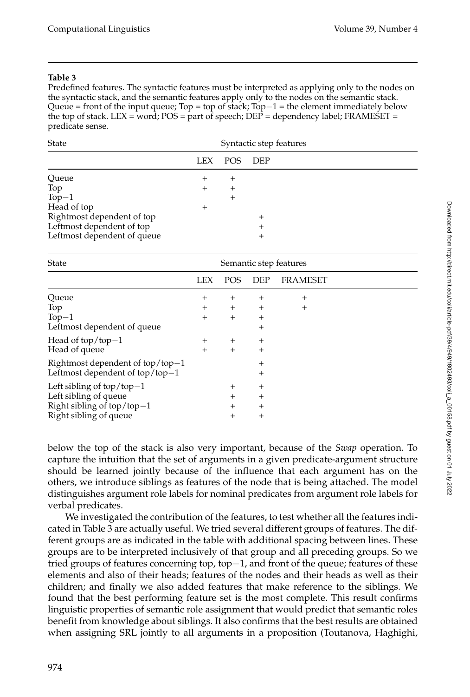#### **Table 3**

Predefined features. The syntactic features must be interpreted as applying only to the nodes on the syntactic stack, and the semantic features apply only to the nodes on the semantic stack. Queue = front of the input queue; Top = top of stack; Top−1 = the element immediately below the top of stack. LEX = word;  $POS = part$  of speech;  $DEF = dependent$  dependency label;  $FRAMESET =$ predicate sense.

| <b>State</b>                |       |          | Syntactic step features |  |
|-----------------------------|-------|----------|-------------------------|--|
|                             | LEX   | POS DEP  |                         |  |
| Queue                       |       | $\,{}^+$ |                         |  |
| Top                         | $\pm$ | $\,{}^+$ |                         |  |
| $Top-1$                     |       | $^{+}$   |                         |  |
| Head of top                 |       |          |                         |  |
| Rightmost dependent of top  |       |          | +                       |  |
| Leftmost dependent of top   |       |          |                         |  |
| Leftmost dependent of queue |       |          |                         |  |

| <b>State</b>                       | Semantic step features |            |            |                 |  |
|------------------------------------|------------------------|------------|------------|-----------------|--|
|                                    | LEX                    | <b>POS</b> | <b>DEP</b> | <b>FRAMESET</b> |  |
| Queue                              | $\,^+$                 | $^{+}$     | $^{+}$     | $^{+}$          |  |
| Top                                | $^{+}$                 | $^{+}$     | $^{+}$     | $^{+}$          |  |
| $Top-1$                            | $^{+}$                 | $^{+}$     | $^{+}$     |                 |  |
| Leftmost dependent of queue        |                        |            | $^{+}$     |                 |  |
| Head of $top/top-1$                | $\overline{+}$         | $^{+}$     | $\,^+$     |                 |  |
| Head of queue                      | $+$                    | $+$        | $^{+}$     |                 |  |
| Rightmost dependent of $top/top-1$ |                        |            | $^{+}$     |                 |  |
| Leftmost dependent of $top/top-1$  |                        |            | $\,^+$     |                 |  |
| Left sibling of top/top-1          |                        | $^{+}$     | $^{+}$     |                 |  |
| Left sibling of queue              |                        | $^{+}$     | $^{+}$     |                 |  |
| Right sibling of top/top-1         |                        | $^{+}$     | $^{+}$     |                 |  |
| Right sibling of queue             |                        | $^{+}$     | $^{+}$     |                 |  |

below the top of the stack is also very important, because of the *Swap* operation. To capture the intuition that the set of arguments in a given predicate-argument structure should be learned jointly because of the influence that each argument has on the others, we introduce siblings as features of the node that is being attached. The model distinguishes argument role labels for nominal predicates from argument role labels for verbal predicates.

We investigated the contribution of the features, to test whether all the features indicated in Table 3 are actually useful. We tried several different groups of features. The different groups are as indicated in the table with additional spacing between lines. These groups are to be interpreted inclusively of that group and all preceding groups. So we tried groups of features concerning top, top−1, and front of the queue; features of these elements and also of their heads; features of the nodes and their heads as well as their children; and finally we also added features that make reference to the siblings. We found that the best performing feature set is the most complete. This result confirms linguistic properties of semantic role assignment that would predict that semantic roles benefit from knowledge about siblings. It also confirms that the best results are obtained when assigning SRL jointly to all arguments in a proposition (Toutanova, Haghighi,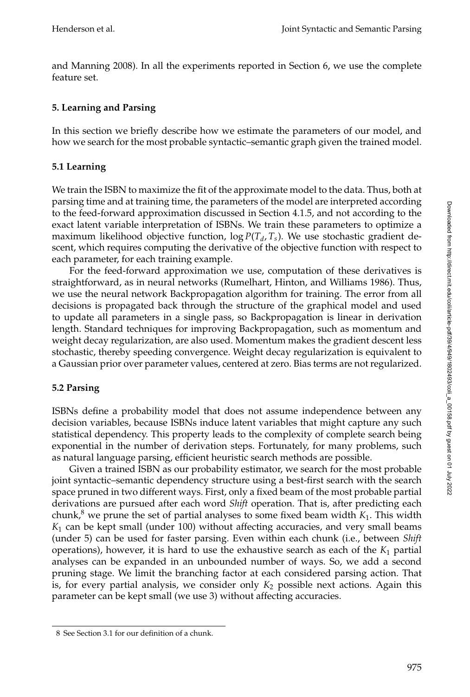and Manning 2008). In all the experiments reported in Section 6, we use the complete feature set.

# **5. Learning and Parsing**

In this section we briefly describe how we estimate the parameters of our model, and how we search for the most probable syntactic–semantic graph given the trained model.

# **5.1 Learning**

We train the ISBN to maximize the fit of the approximate model to the data. Thus, both at parsing time and at training time, the parameters of the model are interpreted according to the feed-forward approximation discussed in Section 4.1.5, and not according to the exact latent variable interpretation of ISBNs. We train these parameters to optimize a maximum likelihood objective function,  $\log P(T_d, T_s)$ . We use stochastic gradient descent, which requires computing the derivative of the objective function with respect to each parameter, for each training example.

For the feed-forward approximation we use, computation of these derivatives is straightforward, as in neural networks (Rumelhart, Hinton, and Williams 1986). Thus, we use the neural network Backpropagation algorithm for training. The error from all decisions is propagated back through the structure of the graphical model and used to update all parameters in a single pass, so Backpropagation is linear in derivation length. Standard techniques for improving Backpropagation, such as momentum and weight decay regularization, are also used. Momentum makes the gradient descent less stochastic, thereby speeding convergence. Weight decay regularization is equivalent to a Gaussian prior over parameter values, centered at zero. Bias terms are not regularized.

# **5.2 Parsing**

ISBNs define a probability model that does not assume independence between any decision variables, because ISBNs induce latent variables that might capture any such statistical dependency. This property leads to the complexity of complete search being exponential in the number of derivation steps. Fortunately, for many problems, such as natural language parsing, efficient heuristic search methods are possible.

Given a trained ISBN as our probability estimator, we search for the most probable joint syntactic–semantic dependency structure using a best-first search with the search space pruned in two different ways. First, only a fixed beam of the most probable partial derivations are pursued after each word *Shift* operation. That is, after predicting each chunk,<sup>8</sup> we prune the set of partial analyses to some fixed beam width  $K_1$ . This width  $K<sub>1</sub>$  can be kept small (under 100) without affecting accuracies, and very small beams (under 5) can be used for faster parsing. Even within each chunk (i.e., between *Shift* operations), however, it is hard to use the exhaustive search as each of the  $K_1$  partial analyses can be expanded in an unbounded number of ways. So, we add a second pruning stage. We limit the branching factor at each considered parsing action. That is, for every partial analysis, we consider only  $K<sub>2</sub>$  possible next actions. Again this parameter can be kept small (we use 3) without affecting accuracies.

<sup>8</sup> See Section 3.1 for our definition of a chunk.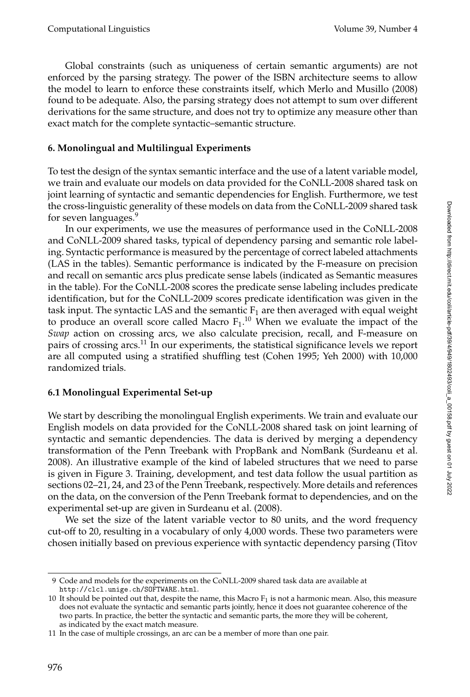Global constraints (such as uniqueness of certain semantic arguments) are not enforced by the parsing strategy. The power of the ISBN architecture seems to allow the model to learn to enforce these constraints itself, which Merlo and Musillo (2008) found to be adequate. Also, the parsing strategy does not attempt to sum over different derivations for the same structure, and does not try to optimize any measure other than exact match for the complete syntactic–semantic structure.

## **6. Monolingual and Multilingual Experiments**

To test the design of the syntax semantic interface and the use of a latent variable model, we train and evaluate our models on data provided for the CoNLL-2008 shared task on joint learning of syntactic and semantic dependencies for English. Furthermore, we test the cross-linguistic generality of these models on data from the CoNLL-2009 shared task for seven languages.<sup>9</sup>

In our experiments, we use the measures of performance used in the CoNLL-2008 and CoNLL-2009 shared tasks, typical of dependency parsing and semantic role labeling. Syntactic performance is measured by the percentage of correct labeled attachments (LAS in the tables). Semantic performance is indicated by the F-measure on precision and recall on semantic arcs plus predicate sense labels (indicated as Semantic measures in the table). For the CoNLL-2008 scores the predicate sense labeling includes predicate identification, but for the CoNLL-2009 scores predicate identification was given in the task input. The syntactic LAS and the semantic  $F_1$  are then averaged with equal weight to produce an overall score called Macro  $F_1$ .<sup>10</sup> When we evaluate the impact of the *Swap* action on crossing arcs, we also calculate precision, recall, and F-measure on pairs of crossing arcs.<sup>11</sup> In our experiments, the statistical significance levels we report are all computed using a stratified shuffling test (Cohen 1995; Yeh 2000) with 10,000 randomized trials.

## **6.1 Monolingual Experimental Set-up**

We start by describing the monolingual English experiments. We train and evaluate our English models on data provided for the CoNLL-2008 shared task on joint learning of syntactic and semantic dependencies. The data is derived by merging a dependency transformation of the Penn Treebank with PropBank and NomBank (Surdeanu et al. 2008). An illustrative example of the kind of labeled structures that we need to parse is given in Figure 3. Training, development, and test data follow the usual partition as sections 02–21, 24, and 23 of the Penn Treebank, respectively. More details and references on the data, on the conversion of the Penn Treebank format to dependencies, and on the experimental set-up are given in Surdeanu et al. (2008).

We set the size of the latent variable vector to 80 units, and the word frequency cut-off to 20, resulting in a vocabulary of only 4,000 words. These two parameters were chosen initially based on previous experience with syntactic dependency parsing (Titov

<sup>9</sup> Code and models for the experiments on the CoNLL-2009 shared task data are available at http://clcl.unige.ch/SOFTWARE.html.

<sup>10</sup> It should be pointed out that, despite the name, this Macro  $F_1$  is not a harmonic mean. Also, this measure does not evaluate the syntactic and semantic parts jointly, hence it does not guarantee coherence of the two parts. In practice, the better the syntactic and semantic parts, the more they will be coherent, as indicated by the exact match measure.

<sup>11</sup> In the case of multiple crossings, an arc can be a member of more than one pair.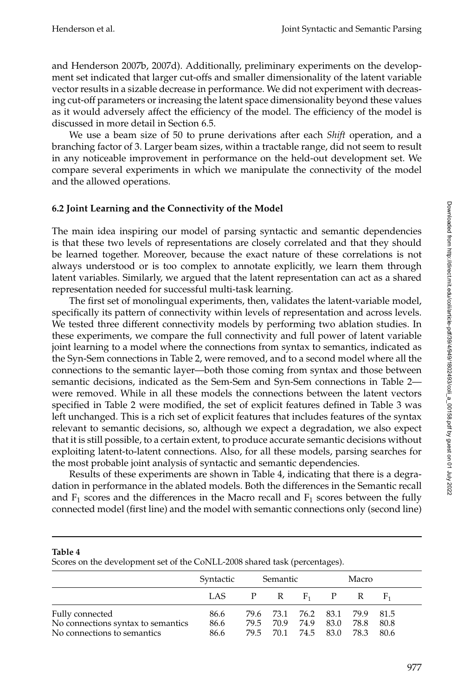and Henderson 2007b, 2007d). Additionally, preliminary experiments on the development set indicated that larger cut-offs and smaller dimensionality of the latent variable vector results in a sizable decrease in performance. We did not experiment with decreasing cut-off parameters or increasing the latent space dimensionality beyond these values as it would adversely affect the efficiency of the model. The efficiency of the model is discussed in more detail in Section 6.5.

We use a beam size of 50 to prune derivations after each *Shift* operation, and a branching factor of 3. Larger beam sizes, within a tractable range, did not seem to result in any noticeable improvement in performance on the held-out development set. We compare several experiments in which we manipulate the connectivity of the model and the allowed operations.

# **6.2 Joint Learning and the Connectivity of the Model**

The main idea inspiring our model of parsing syntactic and semantic dependencies is that these two levels of representations are closely correlated and that they should be learned together. Moreover, because the exact nature of these correlations is not always understood or is too complex to annotate explicitly, we learn them through latent variables. Similarly, we argued that the latent representation can act as a shared representation needed for successful multi-task learning.

The first set of monolingual experiments, then, validates the latent-variable model, specifically its pattern of connectivity within levels of representation and across levels. We tested three different connectivity models by performing two ablation studies. In these experiments, we compare the full connectivity and full power of latent variable joint learning to a model where the connections from syntax to semantics, indicated as the Syn-Sem connections in Table 2, were removed, and to a second model where all the connections to the semantic layer—both those coming from syntax and those between semantic decisions, indicated as the Sem-Sem and Syn-Sem connections in Table 2 were removed. While in all these models the connections between the latent vectors specified in Table 2 were modified, the set of explicit features defined in Table 3 was left unchanged. This is a rich set of explicit features that includes features of the syntax relevant to semantic decisions, so, although we expect a degradation, we also expect that it is still possible, to a certain extent, to produce accurate semantic decisions without exploiting latent-to-latent connections. Also, for all these models, parsing searches for the most probable joint analysis of syntactic and semantic dependencies.

Results of these experiments are shown in Table 4, indicating that there is a degradation in performance in the ablated models. Both the differences in the Semantic recall and  $F_1$  scores and the differences in the Macro recall and  $F_1$  scores between the fully connected model (first line) and the model with semantic connections only (second line)

### **Table 4**

Scores on the development set of the CoNLL-2008 shared task (percentages).

|                                                                                      | Syntactic            | Semantic |                     | Macro                                                             |               |
|--------------------------------------------------------------------------------------|----------------------|----------|---------------------|-------------------------------------------------------------------|---------------|
|                                                                                      | LAS                  |          |                     | $P$ R F <sub>1</sub> P R                                          | - F.          |
| Fully connected<br>No connections syntax to semantics<br>No connections to semantics | 86.6<br>86.6<br>86.6 |          | 79.5 70.9 74.9 83.0 | 79.6 73.1 76.2 83.1 79.9 81.5<br>78.8<br>79.5 70.1 74.5 83.0 78.3 | 80.8<br>-80.6 |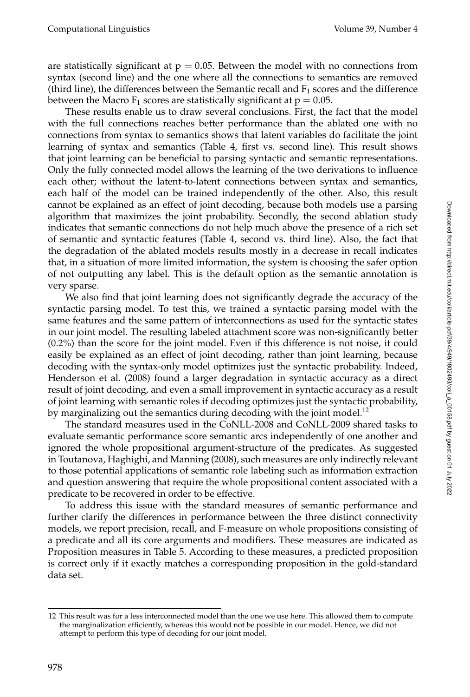are statistically significant at  $p = 0.05$ . Between the model with no connections from syntax (second line) and the one where all the connections to semantics are removed (third line), the differences between the Semantic recall and  $F_1$  scores and the difference between the Macro  $F_1$  scores are statistically significant at  $p = 0.05$ .

These results enable us to draw several conclusions. First, the fact that the model with the full connections reaches better performance than the ablated one with no connections from syntax to semantics shows that latent variables do facilitate the joint learning of syntax and semantics (Table 4, first vs. second line). This result shows that joint learning can be beneficial to parsing syntactic and semantic representations. Only the fully connected model allows the learning of the two derivations to influence each other; without the latent-to-latent connections between syntax and semantics, each half of the model can be trained independently of the other. Also, this result cannot be explained as an effect of joint decoding, because both models use a parsing algorithm that maximizes the joint probability. Secondly, the second ablation study indicates that semantic connections do not help much above the presence of a rich set of semantic and syntactic features (Table 4, second vs. third line). Also, the fact that the degradation of the ablated models results mostly in a decrease in recall indicates that, in a situation of more limited information, the system is choosing the safer option of not outputting any label. This is the default option as the semantic annotation is very sparse.

We also find that joint learning does not significantly degrade the accuracy of the syntactic parsing model. To test this, we trained a syntactic parsing model with the same features and the same pattern of interconnections as used for the syntactic states in our joint model. The resulting labeled attachment score was non-significantly better (0.2%) than the score for the joint model. Even if this difference is not noise, it could easily be explained as an effect of joint decoding, rather than joint learning, because decoding with the syntax-only model optimizes just the syntactic probability. Indeed, Henderson et al. (2008) found a larger degradation in syntactic accuracy as a direct result of joint decoding, and even a small improvement in syntactic accuracy as a result of joint learning with semantic roles if decoding optimizes just the syntactic probability, by marginalizing out the semantics during decoding with the joint model.<sup>12</sup>

The standard measures used in the CoNLL-2008 and CoNLL-2009 shared tasks to evaluate semantic performance score semantic arcs independently of one another and ignored the whole propositional argument-structure of the predicates. As suggested in Toutanova, Haghighi, and Manning (2008), such measures are only indirectly relevant to those potential applications of semantic role labeling such as information extraction and question answering that require the whole propositional content associated with a predicate to be recovered in order to be effective.

To address this issue with the standard measures of semantic performance and further clarify the differences in performance between the three distinct connectivity models, we report precision, recall, and F-measure on whole propositions consisting of a predicate and all its core arguments and modifiers. These measures are indicated as Proposition measures in Table 5. According to these measures, a predicted proposition is correct only if it exactly matches a corresponding proposition in the gold-standard data set.

<sup>12</sup> This result was for a less interconnected model than the one we use here. This allowed them to compute the marginalization efficiently, whereas this would not be possible in our model. Hence, we did not attempt to perform this type of decoding for our joint model.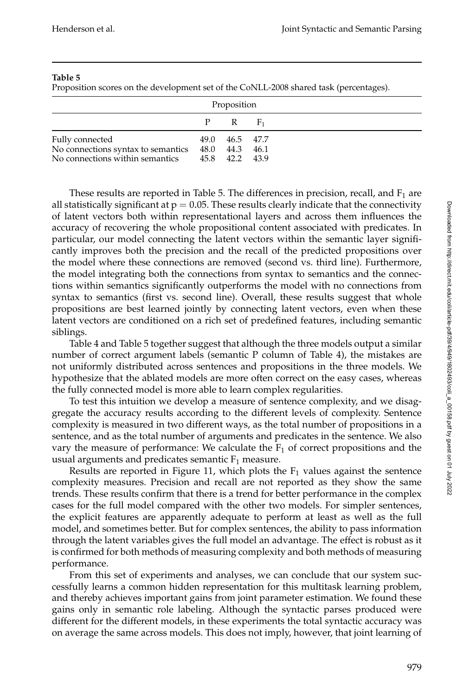#### **Table 5**

Proposition scores on the development set of the CoNLL-2008 shared task (percentages).

|                                                                       |                        | Proposition    |              |  |
|-----------------------------------------------------------------------|------------------------|----------------|--------------|--|
|                                                                       |                        | $P$ R $F_1$    |              |  |
| Fully connected                                                       |                        | 49.0 46.5 47.7 |              |  |
| No connections syntax to semantics<br>No connections within semantics | 48.0 44.3<br>45.8 42.2 |                | 46.1<br>43.9 |  |

These results are reported in Table 5. The differences in precision, recall, and  $F_1$  are all statistically significant at  $p = 0.05$ . These results clearly indicate that the connectivity of latent vectors both within representational layers and across them influences the accuracy of recovering the whole propositional content associated with predicates. In particular, our model connecting the latent vectors within the semantic layer significantly improves both the precision and the recall of the predicted propositions over the model where these connections are removed (second vs. third line). Furthermore, the model integrating both the connections from syntax to semantics and the connections within semantics significantly outperforms the model with no connections from syntax to semantics (first vs. second line). Overall, these results suggest that whole propositions are best learned jointly by connecting latent vectors, even when these latent vectors are conditioned on a rich set of predefined features, including semantic siblings.

Table 4 and Table 5 together suggest that although the three models output a similar number of correct argument labels (semantic P column of Table 4), the mistakes are not uniformly distributed across sentences and propositions in the three models. We hypothesize that the ablated models are more often correct on the easy cases, whereas the fully connected model is more able to learn complex regularities.

To test this intuition we develop a measure of sentence complexity, and we disaggregate the accuracy results according to the different levels of complexity. Sentence complexity is measured in two different ways, as the total number of propositions in a sentence, and as the total number of arguments and predicates in the sentence. We also vary the measure of performance: We calculate the  $F_1$  of correct propositions and the usual arguments and predicates semantic  $F_1$  measure.

Results are reported in Figure 11, which plots the  $F_1$  values against the sentence complexity measures. Precision and recall are not reported as they show the same trends. These results confirm that there is a trend for better performance in the complex cases for the full model compared with the other two models. For simpler sentences, the explicit features are apparently adequate to perform at least as well as the full model, and sometimes better. But for complex sentences, the ability to pass information through the latent variables gives the full model an advantage. The effect is robust as it is confirmed for both methods of measuring complexity and both methods of measuring performance.

From this set of experiments and analyses, we can conclude that our system successfully learns a common hidden representation for this multitask learning problem, and thereby achieves important gains from joint parameter estimation. We found these gains only in semantic role labeling. Although the syntactic parses produced were different for the different models, in these experiments the total syntactic accuracy was on average the same across models. This does not imply, however, that joint learning of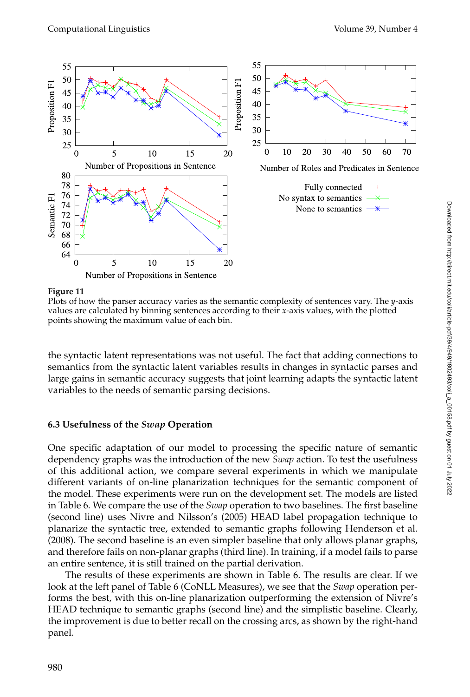

**Figure 11**

Plots of how the parser accuracy varies as the semantic complexity of sentences vary. The *y*-axis values are calculated by binning sentences according to their *x*-axis values, with the plotted points showing the maximum value of each bin.

the syntactic latent representations was not useful. The fact that adding connections to semantics from the syntactic latent variables results in changes in syntactic parses and large gains in semantic accuracy suggests that joint learning adapts the syntactic latent variables to the needs of semantic parsing decisions.

## **6.3 Usefulness of the** *Swap* **Operation**

One specific adaptation of our model to processing the specific nature of semantic dependency graphs was the introduction of the new *Swap* action. To test the usefulness of this additional action, we compare several experiments in which we manipulate different variants of on-line planarization techniques for the semantic component of the model. These experiments were run on the development set. The models are listed in Table 6. We compare the use of the *Swap* operation to two baselines. The first baseline (second line) uses Nivre and Nilsson's (2005) HEAD label propagation technique to planarize the syntactic tree, extended to semantic graphs following Henderson et al. (2008). The second baseline is an even simpler baseline that only allows planar graphs, and therefore fails on non-planar graphs (third line). In training, if a model fails to parse an entire sentence, it is still trained on the partial derivation.

The results of these experiments are shown in Table 6. The results are clear. If we look at the left panel of Table 6 (CoNLL Measures), we see that the *Swap* operation performs the best, with this on-line planarization outperforming the extension of Nivre's HEAD technique to semantic graphs (second line) and the simplistic baseline. Clearly, the improvement is due to better recall on the crossing arcs, as shown by the right-hand panel.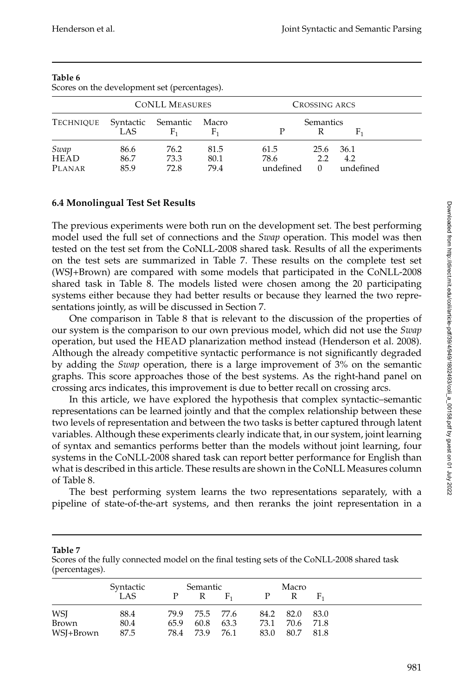|                                      |                      | $\lambda$                |                      |                           |                      |                          |
|--------------------------------------|----------------------|--------------------------|----------------------|---------------------------|----------------------|--------------------------|
|                                      |                      | <b>CONLL MEASURES</b>    |                      |                           | <b>CROSSING ARCS</b> |                          |
| TECHNIQUE                            | LAS                  | Syntactic Semantic<br>F1 | Macro<br>F1          |                           | Semantics            | F1                       |
| Swap<br><b>HEAD</b><br><b>PLANAR</b> | 86.6<br>86.7<br>85.9 | 76.2<br>73.3<br>72.8     | 81.5<br>80.1<br>79.4 | 61.5<br>78.6<br>undefined | 25.6<br>2.2<br>0     | 36.1<br>4.2<br>undefined |

#### **Table 6**

Scores on the development set (percentages).

#### **6.4 Monolingual Test Set Results**

The previous experiments were both run on the development set. The best performing model used the full set of connections and the *Swap* operation. This model was then tested on the test set from the CoNLL-2008 shared task. Results of all the experiments on the test sets are summarized in Table 7. These results on the complete test set (WSJ+Brown) are compared with some models that participated in the CoNLL-2008 shared task in Table 8. The models listed were chosen among the 20 participating systems either because they had better results or because they learned the two representations jointly, as will be discussed in Section 7.

One comparison in Table 8 that is relevant to the discussion of the properties of our system is the comparison to our own previous model, which did not use the *Swap* operation, but used the HEAD planarization method instead (Henderson et al. 2008). Although the already competitive syntactic performance is not significantly degraded by adding the *Swap* operation, there is a large improvement of 3% on the semantic graphs. This score approaches those of the best systems. As the right-hand panel on crossing arcs indicates, this improvement is due to better recall on crossing arcs.

In this article, we have explored the hypothesis that complex syntactic–semantic representations can be learned jointly and that the complex relationship between these two levels of representation and between the two tasks is better captured through latent variables. Although these experiments clearly indicate that, in our system, joint learning of syntax and semantics performs better than the models without joint learning, four systems in the CoNLL-2008 shared task can report better performance for English than what is described in this article. These results are shown in the CoNLL Measures column of Table 8.

The best performing system learns the two representations separately, with a pipeline of state-of-the-art systems, and then reranks the joint representation in a

#### **Table 7**

Scores of the fully connected model on the final testing sets of the CoNLL-2008 shared task (percentages).

|           | Syntactic |      | Semantic  |                |           | Macro |                |  |
|-----------|-----------|------|-----------|----------------|-----------|-------|----------------|--|
|           | LAS       |      | R         | F <sub>1</sub> | P         | R     | F <sub>1</sub> |  |
| WSJ       | 88.4      | 79.9 | 75.5 77.6 |                | 84.2 82.0 |       | 83.0           |  |
| Brown     | 80.4      | 65.9 | 60.8      | 63.3           | 73.1      | 70.6  | 71.8           |  |
| WSI+Brown | 87.5      | 78.4 | 73.9 76.1 |                | 83.0 80.7 |       | 81.8           |  |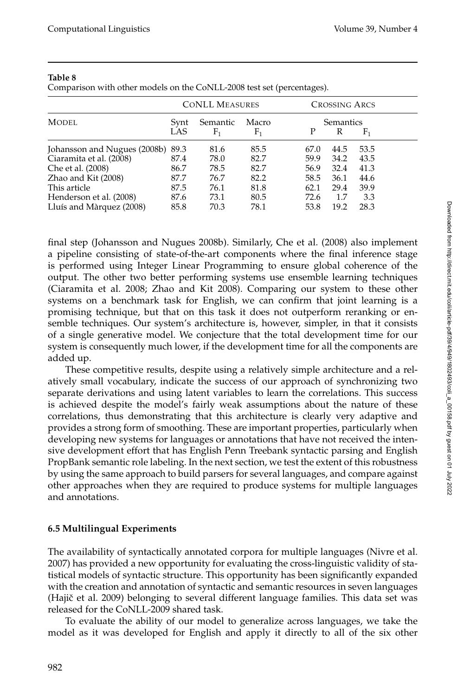Comparison with other models on the CoNLL-2008 test set (percentages).

|                                                                                                                                                                            |                                                      | <b>CONLL MEASURES</b>                                |                                                      | <b>CROSSING ARCS</b>                                                                                        |                                                     |  |
|----------------------------------------------------------------------------------------------------------------------------------------------------------------------------|------------------------------------------------------|------------------------------------------------------|------------------------------------------------------|-------------------------------------------------------------------------------------------------------------|-----------------------------------------------------|--|
| <b>MODEL</b>                                                                                                                                                               | Synt<br>LAS                                          | Semantic<br>F1                                       | Macro<br>${\rm F_1}$                                 | Semantics<br>Р<br>R                                                                                         | F <sub>1</sub>                                      |  |
| Johansson and Nugues (2008b)<br>Ciaramita et al. (2008)<br>Che et al. (2008)<br>Zhao and Kit (2008)<br>This article<br>Henderson et al. (2008)<br>Lluís and Màrquez (2008) | 89.3<br>87.4<br>86.7<br>87.7<br>87.5<br>87.6<br>85.8 | 81.6<br>78.0<br>78.5<br>76.7<br>76.1<br>73.1<br>70.3 | 85.5<br>82.7<br>82.7<br>82.2<br>81.8<br>80.5<br>78.1 | 44.5<br>67.0<br>34.2<br>59.9<br>32.4<br>56.9<br>36.1<br>58.5<br>29.4<br>62.1<br>72.6<br>1.7<br>19.2<br>53.8 | 53.5<br>43.5<br>41.3<br>44.6<br>39.9<br>3.3<br>28.3 |  |

final step (Johansson and Nugues 2008b). Similarly, Che et al. (2008) also implement a pipeline consisting of state-of-the-art components where the final inference stage is performed using Integer Linear Programming to ensure global coherence of the output. The other two better performing systems use ensemble learning techniques (Ciaramita et al. 2008; Zhao and Kit 2008). Comparing our system to these other systems on a benchmark task for English, we can confirm that joint learning is a promising technique, but that on this task it does not outperform reranking or ensemble techniques. Our system's architecture is, however, simpler, in that it consists of a single generative model. We conjecture that the total development time for our system is consequently much lower, if the development time for all the components are added up.

These competitive results, despite using a relatively simple architecture and a relatively small vocabulary, indicate the success of our approach of synchronizing two separate derivations and using latent variables to learn the correlations. This success is achieved despite the model's fairly weak assumptions about the nature of these correlations, thus demonstrating that this architecture is clearly very adaptive and provides a strong form of smoothing. These are important properties, particularly when developing new systems for languages or annotations that have not received the intensive development effort that has English Penn Treebank syntactic parsing and English PropBank semantic role labeling. In the next section, we test the extent of this robustness by using the same approach to build parsers for several languages, and compare against other approaches when they are required to produce systems for multiple languages and annotations.

## **6.5 Multilingual Experiments**

The availability of syntactically annotated corpora for multiple languages (Nivre et al. 2007) has provided a new opportunity for evaluating the cross-linguistic validity of statistical models of syntactic structure. This opportunity has been significantly expanded with the creation and annotation of syntactic and semantic resources in seven languages (Hajič et al. 2009) belonging to several different language families. This data set was released for the CoNLL-2009 shared task.

To evaluate the ability of our model to generalize across languages, we take the model as it was developed for English and apply it directly to all of the six other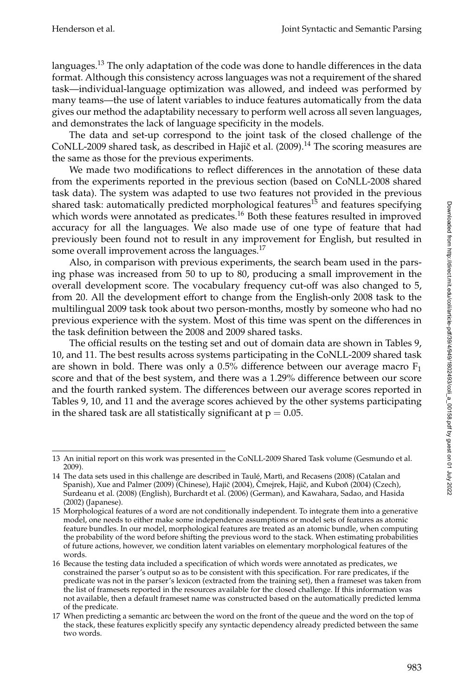languages.<sup>13</sup> The only adaptation of the code was done to handle differences in the data format. Although this consistency across languages was not a requirement of the shared task—individual-language optimization was allowed, and indeed was performed by many teams—the use of latent variables to induce features automatically from the data gives our method the adaptability necessary to perform well across all seven languages, and demonstrates the lack of language specificity in the models.

The data and set-up correspond to the joint task of the closed challenge of the CoNLL-2009 shared task, as described in Hajič et al. (2009).<sup>14</sup> The scoring measures are the same as those for the previous experiments.

We made two modifications to reflect differences in the annotation of these data from the experiments reported in the previous section (based on CoNLL-2008 shared task data). The system was adapted to use two features not provided in the previous shared task: automatically predicted morphological features<sup>15</sup> and features specifying which words were annotated as predicates.<sup>16</sup> Both these features resulted in improved accuracy for all the languages. We also made use of one type of feature that had previously been found not to result in any improvement for English, but resulted in some overall improvement across the languages.<sup>17</sup>

Also, in comparison with previous experiments, the search beam used in the parsing phase was increased from 50 to up to 80, producing a small improvement in the overall development score. The vocabulary frequency cut-off was also changed to 5, from 20. All the development effort to change from the English-only 2008 task to the multilingual 2009 task took about two person-months, mostly by someone who had no previous experience with the system. Most of this time was spent on the differences in the task definition between the 2008 and 2009 shared tasks.

The official results on the testing set and out of domain data are shown in Tables 9, 10, and 11. The best results across systems participating in the CoNLL-2009 shared task are shown in bold. There was only a 0.5% difference between our average macro  $F_1$ score and that of the best system, and there was a 1.29% difference between our score and the fourth ranked system. The differences between our average scores reported in Tables 9, 10, and 11 and the average scores achieved by the other systems participating in the shared task are all statistically significant at  $p = 0.05$ .

<sup>13</sup> An initial report on this work was presented in the CoNLL-2009 Shared Task volume (Gesmundo et al. 2009).

<sup>14</sup> The data sets used in this challenge are described in Taulé, Martì, and Recasens (2008) (Catalan and Spanish), Xue and Palmer (2009) (Chinese), Hajič (2004), Čmejrek, Hajič, and Kuboň (2004) (Czech), Surdeanu et al. (2008) (English), Burchardt et al. (2006) (German), and Kawahara, Sadao, and Hasida (2002) (Japanese).

<sup>15</sup> Morphological features of a word are not conditionally independent. To integrate them into a generative model, one needs to either make some independence assumptions or model sets of features as atomic feature bundles. In our model, morphological features are treated as an atomic bundle, when computing the probability of the word before shifting the previous word to the stack. When estimating probabilities of future actions, however, we condition latent variables on elementary morphological features of the words.

<sup>16</sup> Because the testing data included a specification of which words were annotated as predicates, we constrained the parser's output so as to be consistent with this specification. For rare predicates, if the predicate was not in the parser's lexicon (extracted from the training set), then a frameset was taken from the list of framesets reported in the resources available for the closed challenge. If this information was not available, then a default frameset name was constructed based on the automatically predicted lemma of the predicate.

<sup>17</sup> When predicting a semantic arc between the word on the front of the queue and the word on the top of the stack, these features explicitly specify any syntactic dependency already predicted between the same two words.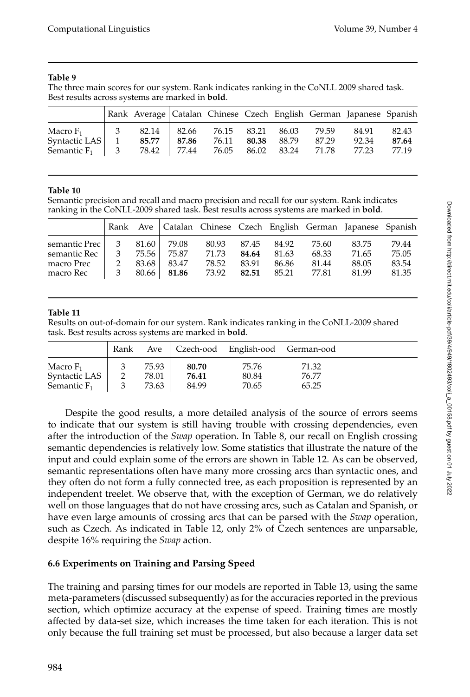#### **Table 9**

The three main scores for our system. Rank indicates ranking in the CoNLL 2009 shared task. Best results across systems are marked in **bold**.

|                                                             |                                                                                           |                                   |       |                                                 |       |                |                         | Rank Average Catalan Chinese Czech English German Japanese Spanish |                         |
|-------------------------------------------------------------|-------------------------------------------------------------------------------------------|-----------------------------------|-------|-------------------------------------------------|-------|----------------|-------------------------|--------------------------------------------------------------------|-------------------------|
| Macro F <sub>1</sub><br>Syntactic LAS<br>Semantic $F_1$   3 | $\begin{array}{ c c c c c } \hline 3 & \multicolumn{2}{ c }{3} \\\hline \end{array}$<br>1 | 82.14  <br>85.77<br>78.42   77.44 | 87.86 | 82.66 76.15 83.21<br>76.11<br>76.05 86.02 83.24 | 80.38 | 86.03<br>88.79 | 79.59<br>87.29<br>71.78 | 84.91<br>92.34<br>77.23                                            | 82.43<br>87.64<br>77.19 |

#### **Table 10**

Semantic precision and recall and macro precision and recall for our system. Rank indicates ranking in the CoNLL-2009 shared task. Best results across systems are marked in **bold**.

|                                                          |        |                                  |                                  |                                  |                                  |                                  |                                  | Rank Ave Catalan Chinese Czech English German Japanese Spanish |                                  |
|----------------------------------------------------------|--------|----------------------------------|----------------------------------|----------------------------------|----------------------------------|----------------------------------|----------------------------------|----------------------------------------------------------------|----------------------------------|
| semantic Prec<br>semantic Rec<br>macro Prec<br>macro Rec | 3<br>3 | 81.60<br>75.56<br>83.68<br>80.66 | 79.08<br>75.87<br>83.47<br>81.86 | 80.93<br>71.73<br>78.52<br>73.92 | 87.45<br>84.64<br>83.91<br>82.51 | 84.92<br>81.63<br>86.86<br>85.21 | 75.60<br>68.33<br>81.44<br>77.81 | 83.75<br>71.65<br>88.05<br>81.99                               | 79.44<br>75.05<br>83.54<br>81.35 |

#### **Table 11**

Results on out-of-domain for our system. Rank indicates ranking in the CoNLL-2009 shared task. Best results across systems are marked in **bold**.

|                                                | Rank |                         |                         | Ave   Czech-ood English-ood German-ood |                         |  |
|------------------------------------------------|------|-------------------------|-------------------------|----------------------------------------|-------------------------|--|
| Macro $F_1$<br>Syntactic LAS<br>Semantic $F_1$ | 3    | 75.93<br>78.01<br>73.63 | 80.70<br>76.41<br>84.99 | 75.76<br>80.84<br>70.65                | 71.32<br>76.77<br>65.25 |  |

Despite the good results, a more detailed analysis of the source of errors seems to indicate that our system is still having trouble with crossing dependencies, even after the introduction of the *Swap* operation. In Table 8, our recall on English crossing semantic dependencies is relatively low. Some statistics that illustrate the nature of the input and could explain some of the errors are shown in Table 12. As can be observed, semantic representations often have many more crossing arcs than syntactic ones, and they often do not form a fully connected tree, as each proposition is represented by an independent treelet. We observe that, with the exception of German, we do relatively well on those languages that do not have crossing arcs, such as Catalan and Spanish, or have even large amounts of crossing arcs that can be parsed with the *Swap* operation, such as Czech. As indicated in Table 12, only 2% of Czech sentences are unparsable, despite 16% requiring the *Swap* action.

### **6.6 Experiments on Training and Parsing Speed**

The training and parsing times for our models are reported in Table 13, using the same meta-parameters (discussed subsequently) as for the accuracies reported in the previous section, which optimize accuracy at the expense of speed. Training times are mostly affected by data-set size, which increases the time taken for each iteration. This is not only because the full training set must be processed, but also because a larger data set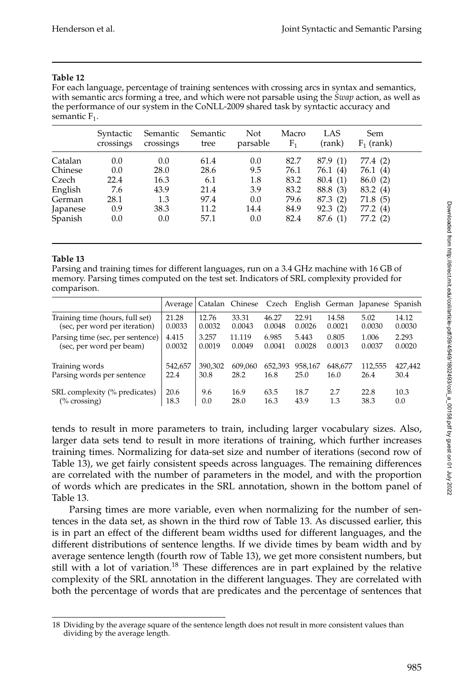### **Table 12**

For each language, percentage of training sentences with crossing arcs in syntax and semantics, with semantic arcs forming a tree, and which were not parsable using the *Swap* action, as well as the performance of our system in the CoNLL-2009 shared task by syntactic accuracy and semantic  $F_1$ .

|          | Syntactic<br>crossings | Semantic<br>crossings | Semantic<br>tree | Not<br>parsable | Macro<br>${\rm F_1}$ | LAS<br>(rank) | Sem<br>$F_1$ (rank) |  |
|----------|------------------------|-----------------------|------------------|-----------------|----------------------|---------------|---------------------|--|
| Catalan  | 0.0                    | 0.0                   | 61.4             | 0.0             | 82.7                 | 87.9(1)       | 77.4 (2)            |  |
| Chinese  | 0.0                    | 28.0                  | 28.6             | 9.5             | 76.1                 | 76.1<br>(4)   | 76.1(4)             |  |
| Czech    | 22.4                   | 16.3                  | 6.1              | 1.8             | 83.2                 | 80.4(1)       | 86.0(2)             |  |
| English  | 7.6                    | 43.9                  | 21.4             | 3.9             | 83.2                 | 88.8 (3)      | 83.2 (4)            |  |
| German   | 28.1                   | 1.3                   | 97.4             | 0.0             | 79.6                 | 87.3<br>(2)   | 71.8(5)             |  |
| Japanese | 0.9                    | 38.3                  | 11.2             | 14.4            | 84.9                 | (2)<br>92.3   | 77.2(4)             |  |
| Spanish  | 0.0                    | 0.0                   | 57.1             | 0.0             | 82.4                 | 87.6(1)       | 77.2 (2)            |  |

#### **Table 13**

Parsing and training times for different languages, run on a 3.4 GHz machine with 16 GB of memory. Parsing times computed on the test set. Indicators of SRL complexity provided for comparison.

|                                  | Average |         | Catalan Chinese | Czech   |         |         | English German Japanese Spanish |         |
|----------------------------------|---------|---------|-----------------|---------|---------|---------|---------------------------------|---------|
| Training time (hours, full set)  | 21.28   | 12.76   | 33.31           | 46.27   | 22.91   | 14.58   | 5.02                            | 14.12   |
| (sec, per word per iteration)    | 0.0033  | 0.0032  | 0.0043          | 0.0048  | 0.0026  | 0.0021  | 0.0030                          | 0.0030  |
| Parsing time (sec, per sentence) | 4.415   | 3.257   | 11.119          | 6.985   | 5.443   | 0.805   | 1.006                           | 2.293   |
| (sec, per word per beam)         | 0.0032  | 0.0019  | 0.0049          | 0.0041  | 0.0028  | 0.0013  | 0.0037                          | 0.0020  |
| Training words                   | 542,657 | 390.302 | 609.060         | 652.393 | 958.167 | 648.677 | 112.555                         | 427,442 |
| Parsing words per sentence       | 22.4    | 30.8    | 28.2            | 16.8    | 25.0    | 16.0    | 26.4                            | 30.4    |
| SRL complexity (% predicates)    | 20.6    | 9.6     | 16.9            | 63.5    | 18.7    | 2.7     | 22.8                            | 10.3    |
| $\frac{6}{6}$ crossing)          | 18.3    | 0.0     | 28.0            | 16.3    | 43.9    | 1.3     | 38.3                            | 0.0     |

tends to result in more parameters to train, including larger vocabulary sizes. Also, larger data sets tend to result in more iterations of training, which further increases training times. Normalizing for data-set size and number of iterations (second row of Table 13), we get fairly consistent speeds across languages. The remaining differences are correlated with the number of parameters in the model, and with the proportion of words which are predicates in the SRL annotation, shown in the bottom panel of Table 13.

Parsing times are more variable, even when normalizing for the number of sentences in the data set, as shown in the third row of Table 13. As discussed earlier, this is in part an effect of the different beam widths used for different languages, and the different distributions of sentence lengths. If we divide times by beam width and by average sentence length (fourth row of Table 13), we get more consistent numbers, but still with a lot of variation.<sup>18</sup> These differences are in part explained by the relative complexity of the SRL annotation in the different languages. They are correlated with both the percentage of words that are predicates and the percentage of sentences that

<sup>18</sup> Dividing by the average square of the sentence length does not result in more consistent values than dividing by the average length.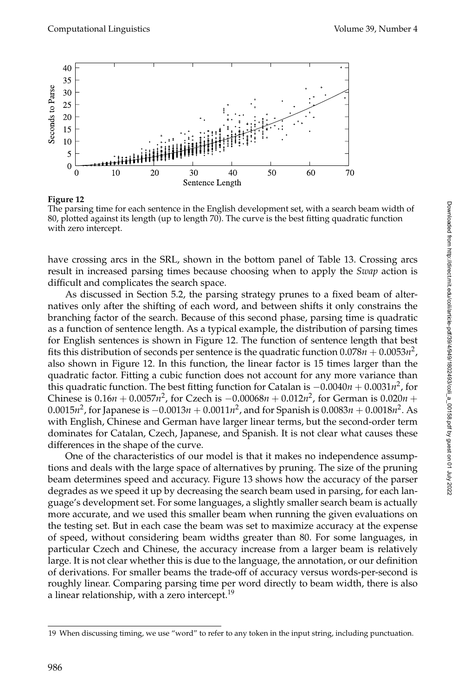

**Figure 12**

The parsing time for each sentence in the English development set, with a search beam width of 80, plotted against its length (up to length 70). The curve is the best fitting quadratic function with zero intercept.

have crossing arcs in the SRL, shown in the bottom panel of Table 13. Crossing arcs result in increased parsing times because choosing when to apply the *Swap* action is difficult and complicates the search space.

As discussed in Section 5.2, the parsing strategy prunes to a fixed beam of alternatives only after the shifting of each word, and between shifts it only constrains the branching factor of the search. Because of this second phase, parsing time is quadratic as a function of sentence length. As a typical example, the distribution of parsing times for English sentences is shown in Figure 12. The function of sentence length that best fits this distribution of seconds per sentence is the quadratic function 0.078*n* + 0.0053*n*2, also shown in Figure 12. In this function, the linear factor is 15 times larger than the quadratic factor. Fitting a cubic function does not account for any more variance than this quadratic function. The best fitting function for Catalan is −0.0040*n* + 0.0031*n*2, for Chinese is  $0.16n + 0.0057n^2$ , for Czech is  $-0.00068n + 0.012n^2$ , for German is  $0.020n +$ 0.0015*n*2, for Japanese is −0.0013*n* + 0.0011*n*2, and for Spanish is 0.0083*n* + 0.0018*n*2. As with English, Chinese and German have larger linear terms, but the second-order term dominates for Catalan, Czech, Japanese, and Spanish. It is not clear what causes these differences in the shape of the curve.

One of the characteristics of our model is that it makes no independence assumptions and deals with the large space of alternatives by pruning. The size of the pruning beam determines speed and accuracy. Figure 13 shows how the accuracy of the parser degrades as we speed it up by decreasing the search beam used in parsing, for each language's development set. For some languages, a slightly smaller search beam is actually more accurate, and we used this smaller beam when running the given evaluations on the testing set. But in each case the beam was set to maximize accuracy at the expense of speed, without considering beam widths greater than 80. For some languages, in particular Czech and Chinese, the accuracy increase from a larger beam is relatively large. It is not clear whether this is due to the language, the annotation, or our definition of derivations. For smaller beams the trade-off of accuracy versus words-per-second is roughly linear. Comparing parsing time per word directly to beam width, there is also a linear relationship, with a zero intercept.<sup>19</sup>

<sup>19</sup> When discussing timing, we use "word" to refer to any token in the input string, including punctuation.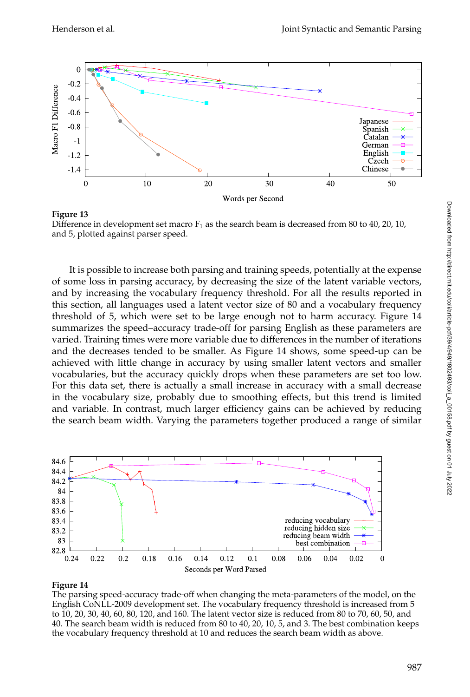

**Figure 13** Difference in development set macro  $F_1$  as the search beam is decreased from 80 to 40, 20, 10, and 5, plotted against parser speed.

It is possible to increase both parsing and training speeds, potentially at the expense of some loss in parsing accuracy, by decreasing the size of the latent variable vectors, and by increasing the vocabulary frequency threshold. For all the results reported in this section, all languages used a latent vector size of 80 and a vocabulary frequency threshold of 5, which were set to be large enough not to harm accuracy. Figure 14 summarizes the speed–accuracy trade-off for parsing English as these parameters are varied. Training times were more variable due to differences in the number of iterations and the decreases tended to be smaller. As Figure 14 shows, some speed-up can be achieved with little change in accuracy by using smaller latent vectors and smaller vocabularies, but the accuracy quickly drops when these parameters are set too low. For this data set, there is actually a small increase in accuracy with a small decrease in the vocabulary size, probably due to smoothing effects, but this trend is limited and variable. In contrast, much larger efficiency gains can be achieved by reducing the search beam width. Varying the parameters together produced a range of similar



#### **Figure 14**

The parsing speed-accuracy trade-off when changing the meta-parameters of the model, on the English CoNLL-2009 development set. The vocabulary frequency threshold is increased from 5 to 10, 20, 30, 40, 60, 80, 120, and 160. The latent vector size is reduced from 80 to 70, 60, 50, and 40. The search beam width is reduced from 80 to 40, 20, 10, 5, and 3. The best combination keeps the vocabulary frequency threshold at 10 and reduces the search beam width as above.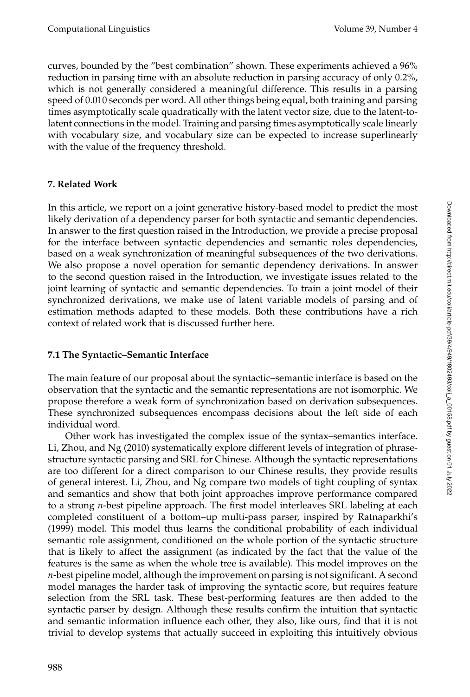curves, bounded by the "best combination" shown. These experiments achieved a 96% reduction in parsing time with an absolute reduction in parsing accuracy of only 0.2%, which is not generally considered a meaningful difference. This results in a parsing speed of 0.010 seconds per word. All other things being equal, both training and parsing times asymptotically scale quadratically with the latent vector size, due to the latent-tolatent connections in the model. Training and parsing times asymptotically scale linearly with vocabulary size, and vocabulary size can be expected to increase superlinearly with the value of the frequency threshold.

# **7. Related Work**

In this article, we report on a joint generative history-based model to predict the most likely derivation of a dependency parser for both syntactic and semantic dependencies. In answer to the first question raised in the Introduction, we provide a precise proposal for the interface between syntactic dependencies and semantic roles dependencies, based on a weak synchronization of meaningful subsequences of the two derivations. We also propose a novel operation for semantic dependency derivations. In answer to the second question raised in the Introduction, we investigate issues related to the joint learning of syntactic and semantic dependencies. To train a joint model of their synchronized derivations, we make use of latent variable models of parsing and of estimation methods adapted to these models. Both these contributions have a rich context of related work that is discussed further here.

# **7.1 The Syntactic–Semantic Interface**

The main feature of our proposal about the syntactic–semantic interface is based on the observation that the syntactic and the semantic representations are not isomorphic. We propose therefore a weak form of synchronization based on derivation subsequences. These synchronized subsequences encompass decisions about the left side of each individual word.

Other work has investigated the complex issue of the syntax–semantics interface. Li, Zhou, and Ng (2010) systematically explore different levels of integration of phrasestructure syntactic parsing and SRL for Chinese. Although the syntactic representations are too different for a direct comparison to our Chinese results, they provide results of general interest. Li, Zhou, and Ng compare two models of tight coupling of syntax and semantics and show that both joint approaches improve performance compared to a strong *n*-best pipeline approach. The first model interleaves SRL labeling at each completed constituent of a bottom–up multi-pass parser, inspired by Ratnaparkhi's (1999) model. This model thus learns the conditional probability of each individual semantic role assignment, conditioned on the whole portion of the syntactic structure that is likely to affect the assignment (as indicated by the fact that the value of the features is the same as when the whole tree is available). This model improves on the *n*-best pipeline model, although the improvement on parsing is not significant. A second model manages the harder task of improving the syntactic score, but requires feature selection from the SRL task. These best-performing features are then added to the syntactic parser by design. Although these results confirm the intuition that syntactic and semantic information influence each other, they also, like ours, find that it is not trivial to develop systems that actually succeed in exploiting this intuitively obvious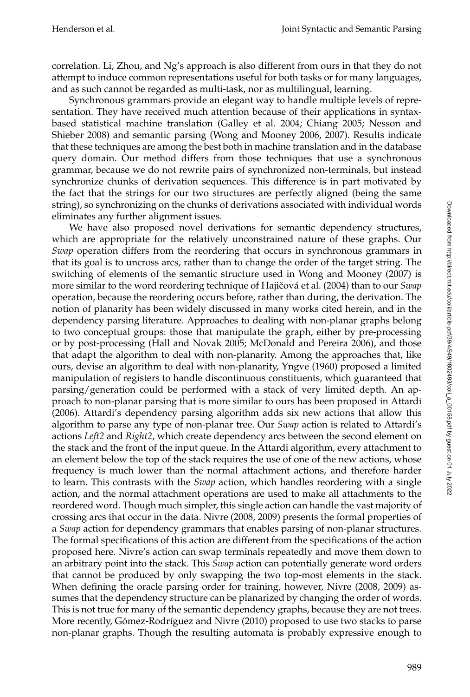correlation. Li, Zhou, and Ng's approach is also different from ours in that they do not attempt to induce common representations useful for both tasks or for many languages, and as such cannot be regarded as multi-task, nor as multilingual, learning.

Synchronous grammars provide an elegant way to handle multiple levels of representation. They have received much attention because of their applications in syntaxbased statistical machine translation (Galley et al. 2004; Chiang 2005; Nesson and Shieber 2008) and semantic parsing (Wong and Mooney 2006, 2007). Results indicate that these techniques are among the best both in machine translation and in the database query domain. Our method differs from those techniques that use a synchronous grammar, because we do not rewrite pairs of synchronized non-terminals, but instead synchronize chunks of derivation sequences. This difference is in part motivated by the fact that the strings for our two structures are perfectly aligned (being the same string), so synchronizing on the chunks of derivations associated with individual words eliminates any further alignment issues.

We have also proposed novel derivations for semantic dependency structures, which are appropriate for the relatively unconstrained nature of these graphs. Our *Swap* operation differs from the reordering that occurs in synchronous grammars in that its goal is to uncross arcs, rather than to change the order of the target string. The switching of elements of the semantic structure used in Wong and Mooney (2007) is more similar to the word reordering technique of Hajičová et al. (2004) than to our *Swap* operation, because the reordering occurs before, rather than during, the derivation. The notion of planarity has been widely discussed in many works cited herein, and in the dependency parsing literature. Approaches to dealing with non-planar graphs belong to two conceptual groups: those that manipulate the graph, either by pre-processing or by post-processing (Hall and Novak 2005; McDonald and Pereira 2006), and those that adapt the algorithm to deal with non-planarity. Among the approaches that, like ours, devise an algorithm to deal with non-planarity, Yngve (1960) proposed a limited manipulation of registers to handle discontinuous constituents, which guaranteed that parsing/generation could be performed with a stack of very limited depth. An approach to non-planar parsing that is more similar to ours has been proposed in Attardi (2006). Attardi's dependency parsing algorithm adds six new actions that allow this algorithm to parse any type of non-planar tree. Our *Swap* action is related to Attardi's actions *Left2* and *Right2*, which create dependency arcs between the second element on the stack and the front of the input queue. In the Attardi algorithm, every attachment to an element below the top of the stack requires the use of one of the new actions, whose frequency is much lower than the normal attachment actions, and therefore harder to learn. This contrasts with the *Swap* action, which handles reordering with a single action, and the normal attachment operations are used to make all attachments to the reordered word. Though much simpler, this single action can handle the vast majority of crossing arcs that occur in the data. Nivre (2008, 2009) presents the formal properties of a *Swap* action for dependency grammars that enables parsing of non-planar structures. The formal specifications of this action are different from the specifications of the action proposed here. Nivre's action can swap terminals repeatedly and move them down to an arbitrary point into the stack. This *Swap* action can potentially generate word orders that cannot be produced by only swapping the two top-most elements in the stack. When defining the oracle parsing order for training, however, Nivre (2008, 2009) assumes that the dependency structure can be planarized by changing the order of words. This is not true for many of the semantic dependency graphs, because they are not trees. More recently, Gómez-Rodríguez and Nivre (2010) proposed to use two stacks to parse non-planar graphs. Though the resulting automata is probably expressive enough to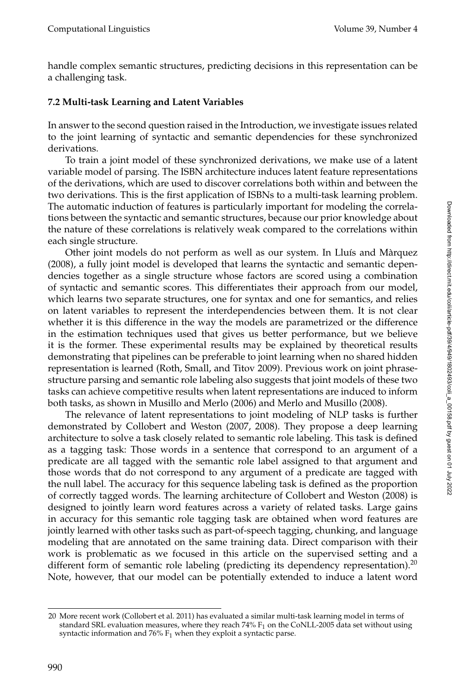handle complex semantic structures, predicting decisions in this representation can be a challenging task.

## **7.2 Multi-task Learning and Latent Variables**

In answer to the second question raised in the Introduction, we investigate issues related to the joint learning of syntactic and semantic dependencies for these synchronized derivations.

To train a joint model of these synchronized derivations, we make use of a latent variable model of parsing. The ISBN architecture induces latent feature representations of the derivations, which are used to discover correlations both within and between the two derivations. This is the first application of ISBNs to a multi-task learning problem. The automatic induction of features is particularly important for modeling the correlations between the syntactic and semantic structures, because our prior knowledge about the nature of these correlations is relatively weak compared to the correlations within each single structure.

Other joint models do not perform as well as our system. In Lluís and Màrquez (2008), a fully joint model is developed that learns the syntactic and semantic dependencies together as a single structure whose factors are scored using a combination of syntactic and semantic scores. This differentiates their approach from our model, which learns two separate structures, one for syntax and one for semantics, and relies on latent variables to represent the interdependencies between them. It is not clear whether it is this difference in the way the models are parametrized or the difference in the estimation techniques used that gives us better performance, but we believe it is the former. These experimental results may be explained by theoretical results demonstrating that pipelines can be preferable to joint learning when no shared hidden representation is learned (Roth, Small, and Titov 2009). Previous work on joint phrasestructure parsing and semantic role labeling also suggests that joint models of these two tasks can achieve competitive results when latent representations are induced to inform both tasks, as shown in Musillo and Merlo (2006) and Merlo and Musillo (2008).

The relevance of latent representations to joint modeling of NLP tasks is further demonstrated by Collobert and Weston (2007, 2008). They propose a deep learning architecture to solve a task closely related to semantic role labeling. This task is defined as a tagging task: Those words in a sentence that correspond to an argument of a predicate are all tagged with the semantic role label assigned to that argument and those words that do not correspond to any argument of a predicate are tagged with the null label. The accuracy for this sequence labeling task is defined as the proportion of correctly tagged words. The learning architecture of Collobert and Weston (2008) is designed to jointly learn word features across a variety of related tasks. Large gains in accuracy for this semantic role tagging task are obtained when word features are jointly learned with other tasks such as part-of-speech tagging, chunking, and language modeling that are annotated on the same training data. Direct comparison with their work is problematic as we focused in this article on the supervised setting and a different form of semantic role labeling (predicting its dependency representation).<sup>20</sup> Note, however, that our model can be potentially extended to induce a latent word

<sup>20</sup> More recent work (Collobert et al. 2011) has evaluated a similar multi-task learning model in terms of standard SRL evaluation measures, where they reach 74%  $F_1$  on the CoNLL-2005 data set without using syntactic information and 76%  $F_1$  when they exploit a syntactic parse.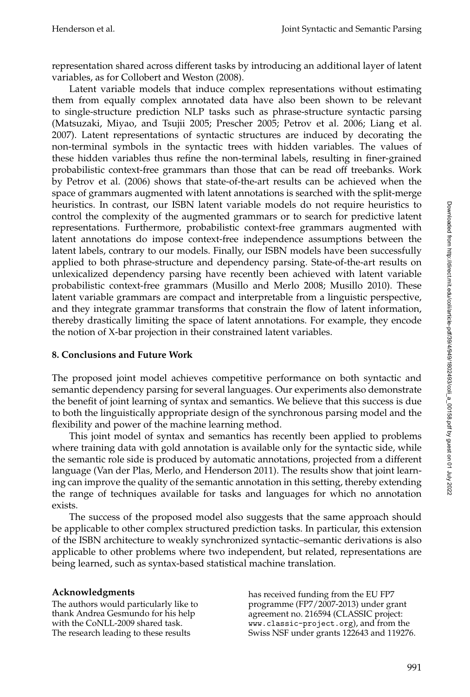representation shared across different tasks by introducing an additional layer of latent variables, as for Collobert and Weston (2008).

Latent variable models that induce complex representations without estimating them from equally complex annotated data have also been shown to be relevant to single-structure prediction NLP tasks such as phrase-structure syntactic parsing (Matsuzaki, Miyao, and Tsujii 2005; Prescher 2005; Petrov et al. 2006; Liang et al. 2007). Latent representations of syntactic structures are induced by decorating the non-terminal symbols in the syntactic trees with hidden variables. The values of these hidden variables thus refine the non-terminal labels, resulting in finer-grained probabilistic context-free grammars than those that can be read off treebanks. Work by Petrov et al. (2006) shows that state-of-the-art results can be achieved when the space of grammars augmented with latent annotations is searched with the split-merge heuristics. In contrast, our ISBN latent variable models do not require heuristics to control the complexity of the augmented grammars or to search for predictive latent representations. Furthermore, probabilistic context-free grammars augmented with latent annotations do impose context-free independence assumptions between the latent labels, contrary to our models. Finally, our ISBN models have been successfully applied to both phrase-structure and dependency parsing. State-of-the-art results on unlexicalized dependency parsing have recently been achieved with latent variable probabilistic context-free grammars (Musillo and Merlo 2008; Musillo 2010). These latent variable grammars are compact and interpretable from a linguistic perspective, and they integrate grammar transforms that constrain the flow of latent information, thereby drastically limiting the space of latent annotations. For example, they encode the notion of X-bar projection in their constrained latent variables.

## **8. Conclusions and Future Work**

The proposed joint model achieves competitive performance on both syntactic and semantic dependency parsing for several languages. Our experiments also demonstrate the benefit of joint learning of syntax and semantics. We believe that this success is due to both the linguistically appropriate design of the synchronous parsing model and the flexibility and power of the machine learning method.

This joint model of syntax and semantics has recently been applied to problems where training data with gold annotation is available only for the syntactic side, while the semantic role side is produced by automatic annotations, projected from a different language (Van der Plas, Merlo, and Henderson 2011). The results show that joint learning can improve the quality of the semantic annotation in this setting, thereby extending the range of techniques available for tasks and languages for which no annotation exists.

The success of the proposed model also suggests that the same approach should be applicable to other complex structured prediction tasks. In particular, this extension of the ISBN architecture to weakly synchronized syntactic–semantic derivations is also applicable to other problems where two independent, but related, representations are being learned, such as syntax-based statistical machine translation.

## **Acknowledgments**

The authors would particularly like to thank Andrea Gesmundo for his help with the CoNLL-2009 shared task. The research leading to these results

has received funding from the EU FP7 programme (FP7/2007-2013) under grant agreement no. 216594 (CLASSIC project: www.classic-project.org), and from the Swiss NSF under grants 122643 and 119276.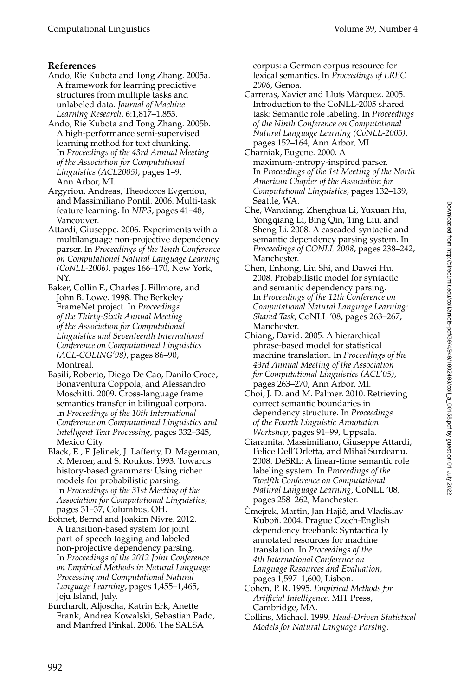#### **References**

- Ando, Rie Kubota and Tong Zhang. 2005a. A framework for learning predictive structures from multiple tasks and unlabeled data. *Journal of Machine Learning Research*, 6:1,817–1,853.
- Ando, Rie Kubota and Tong Zhang. 2005b. A high-performance semi-supervised learning method for text chunking. In *Proceedings of the 43rd Annual Meeting of the Association for Computational Linguistics (ACL2005)*, pages 1–9, Ann Arbor, MI.
- Argyriou, Andreas, Theodoros Evgeniou, and Massimiliano Pontil. 2006. Multi-task feature learning. In *NIPS*, pages 41–48, Vancouver.
- Attardi, Giuseppe. 2006. Experiments with a multilanguage non-projective dependency parser. In *Proceedings of the Tenth Conference on Computational Natural Language Learning (CoNLL-2006)*, pages 166–170, New York, NY.
- Baker, Collin F., Charles J. Fillmore, and John B. Lowe. 1998. The Berkeley FrameNet project. In *Proceedings of the Thirty-Sixth Annual Meeting of the Association for Computational Linguistics and Seventeenth International Conference on Computational Linguistics (ACL-COLING'98)*, pages 86–90, Montreal.
- Basili, Roberto, Diego De Cao, Danilo Croce, Bonaventura Coppola, and Alessandro Moschitti. 2009. Cross-language frame semantics transfer in bilingual corpora. In *Proceedings of the 10th International Conference on Computational Linguistics and Intelligent Text Processing*, pages 332–345, Mexico City.
- Black, E., F. Jelinek, J. Lafferty, D. Magerman, R. Mercer, and S. Roukos. 1993. Towards history-based grammars: Using richer models for probabilistic parsing. In *Proceedings of the 31st Meeting of the Association for Computational Linguistics*, pages 31–37, Columbus, OH.
- Bohnet, Bernd and Joakim Nivre. 2012. A transition-based system for joint part-of-speech tagging and labeled non-projective dependency parsing. In *Proceedings of the 2012 Joint Conference on Empirical Methods in Natural Language Processing and Computational Natural Language Learning*, pages 1,455–1,465, Jeju Island, July.
- Burchardt, Aljoscha, Katrin Erk, Anette Frank, Andrea Kowalski, Sebastian Pado, and Manfred Pinkal. 2006. The SALSA

corpus: a German corpus resource for lexical semantics. In *Proceedings of LREC 2006*, Genoa.

- Carreras, Xavier and Lluís Màrquez. 2005. Introduction to the CoNLL-2005 shared task: Semantic role labeling. In *Proceedings of the Ninth Conference on Computational Natural Language Learning (CoNLL-2005)*, pages 152–164, Ann Arbor, MI.
- Charniak, Eugene. 2000. A maximum-entropy-inspired parser. In *Proceedings of the 1st Meeting of the North American Chapter of the Association for Computational Linguistics*, pages 132–139, Seattle, WA.
- Che, Wanxiang, Zhenghua Li, Yuxuan Hu, Yongqiang Li, Bing Qin, Ting Liu, and Sheng Li. 2008. A cascaded syntactic and semantic dependency parsing system. In *Proceedings of CONLL 2008*, pages 238–242, Manchester.
- Chen, Enhong, Liu Shi, and Dawei Hu. 2008. Probabilistic model for syntactic and semantic dependency parsing. In *Proceedings of the 12th Conference on Computational Natural Language Learning: Shared Task*, CoNLL '08, pages 263–267, Manchester.
- Chiang, David. 2005. A hierarchical phrase-based model for statistical machine translation. In *Proceedings of the 43rd Annual Meeting of the Association for Computational Linguistics (ACL'05)*, pages 263–270, Ann Arbor, MI.
- Choi, J. D. and M. Palmer. 2010. Retrieving correct semantic boundaries in dependency structure. In *Proceedings of the Fourth Linguistic Annotation Workshop*, pages 91–99, Uppsala.
- Ciaramita, Massimiliano, Giuseppe Attardi, Felice Dell'Orletta, and Mihai Surdeanu. 2008. DeSRL: A linear-time semantic role labeling system. In *Proceedings of the Twelfth Conference on Computational Natural Language Learning*, CoNLL '08, pages 258–262, Manchester.
- Čmejrek, Martin, Jan Hajič, and Vladislav Kuboň. 2004. Prague Czech-English dependency treebank: Syntactically annotated resources for machine translation. In *Proceedings of the 4th International Conference on Language Resources and Evaluation*, pages 1,597–1,600, Lisbon.
- Cohen, P. R. 1995. *Empirical Methods for Artificial Intelligence*. MIT Press, Cambridge, MA.
- Collins, Michael. 1999. *Head-Driven Statistical Models for Natural Language Parsing*.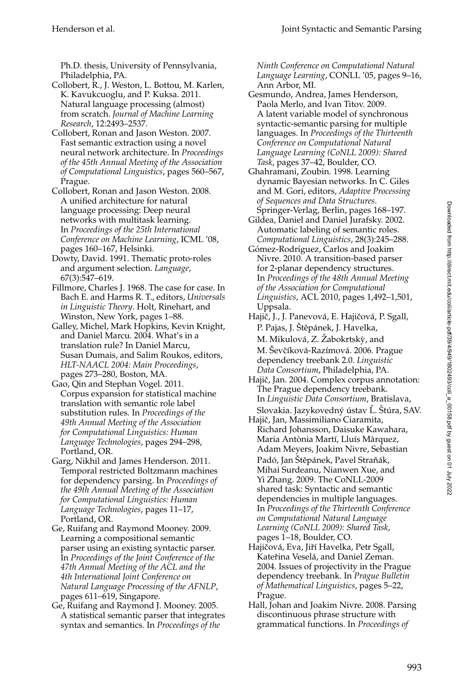Ph.D. thesis, University of Pennsylvania, Philadelphia, PA.

Collobert, R., J. Weston, L. Bottou, M. Karlen, K. Kavukcuoglu, and P. Kuksa. 2011. Natural language processing (almost) from scratch. *Journal of Machine Learning Research*, 12:2493–2537.

Collobert, Ronan and Jason Weston. 2007. Fast semantic extraction using a novel neural network architecture. In *Proceedings of the 45th Annual Meeting of the Association of Computational Linguistics*, pages 560–567, Prague.

Collobert, Ronan and Jason Weston. 2008. A unified architecture for natural language processing: Deep neural networks with multitask learning. In *Proceedings of the 25th International Conference on Machine Learning*, ICML '08, pages 160–167, Helsinki.

Dowty, David. 1991. Thematic proto-roles and argument selection. *Language*, 67(3):547–619.

Fillmore, Charles J. 1968. The case for case. In Bach E. and Harms R. T., editors, *Universals in Linguistic Theory*. Holt, Rinehart, and Winston, New York, pages 1–88.

Galley, Michel, Mark Hopkins, Kevin Knight, and Daniel Marcu. 2004. What's in a translation rule? In Daniel Marcu, Susan Dumais, and Salim Roukos, editors, *HLT-NAACL 2004: Main Proceedings*, pages 273–280, Boston, MA.

Gao, Qin and Stephan Vogel. 2011. Corpus expansion for statistical machine translation with semantic role label substitution rules. In *Proceedings of the 49th Annual Meeting of the Association for Computational Linguistics: Human Language Technologies*, pages 294–298, Portland, OR.

Garg, Nikhil and James Henderson. 2011. Temporal restricted Boltzmann machines for dependency parsing. In *Proceedings of the 49th Annual Meeting of the Association for Computational Linguistics: Human Language Technologies*, pages 11–17, Portland, OR.

Ge, Ruifang and Raymond Mooney. 2009. Learning a compositional semantic parser using an existing syntactic parser. In *Proceedings of the Joint Conference of the 47th Annual Meeting of the ACL and the 4th International Joint Conference on Natural Language Processing of the AFNLP*, pages 611–619, Singapore.

Ge, Ruifang and Raymond J. Mooney. 2005. A statistical semantic parser that integrates syntax and semantics. In *Proceedings of the*

*Ninth Conference on Computational Natural Language Learning*, CONLL '05, pages 9–16, Ann Arbor, MI.

- Gesmundo, Andrea, James Henderson, Paola Merlo, and Ivan Titov. 2009. A latent variable model of synchronous syntactic-semantic parsing for multiple languages. In *Proceedings of the Thirteenth Conference on Computational Natural Language Learning (CoNLL 2009): Shared Task*, pages 37–42, Boulder, CO.
- Ghahramani, Zoubin. 1998. Learning dynamic Bayesian networks. In C. Giles and M. Gori, editors, *Adaptive Processing of Sequences and Data Structures*. Springer-Verlag, Berlin, pages 168–197.
- Gildea, Daniel and Daniel Jurafsky. 2002. Automatic labeling of semantic roles. *Computational Linguistics*, 28(3):245–288.
- Gómez-Rodríguez, Carlos and Joakim Nivre. 2010. A transition-based parser for 2-planar dependency structures. In *Proceedings of the 48th Annual Meeting of the Association for Computational Linguistics*, ACL 2010, pages 1,492–1,501, Uppsala.
- Hajič, J., J. Panevová, E. Hajičová, P. Sgall, P. Pajas, J. Štěpánek, J. Havelka, M. Mikulová, Z. Žabokrtský, and M. Ševčíková-Razímová. 2006. Prague dependency treebank 2.0. *Linguistic Data Consortium*, Philadelphia, PA.
- Hajič, Jan. 2004. Complex corpus annotation: The Prague dependency treebank. In *Linguistic Data Consortium*, Bratislava, Slovakia. Jazykovedný ústav Ľ. Štúra, SAV.
- Hajič, Jan, Massimiliano Ciaramita, Richard Johansson, Daisuke Kawahara, Maria Antònia Martí, Lluís Màrquez, Adam Meyers, Joakim Nivre, Sebastian Padó, Jan Štěpánek, Pavel Straňák, Mihai Surdeanu, Nianwen Xue, and Yi Zhang. 2009. The CoNLL-2009 shared task: Syntactic and semantic dependencies in multiple languages. In *Proceedings of the Thirteenth Conference on Computational Natural Language Learning (CoNLL 2009): Shared Task*, pages 1–18, Boulder, CO.
- Hajičová, Eva, Jiří Havelka, Petr Sgall, Kateřina Veselá, and Daniel Zeman. 2004. Issues of projectivity in the Prague dependency treebank. In *Prague Bulletin of Mathematical Linguistics*, pages 5–22, Prague.
- Hall, Johan and Joakim Nivre. 2008. Parsing discontinuous phrase structure with grammatical functions. In *Proceedings of*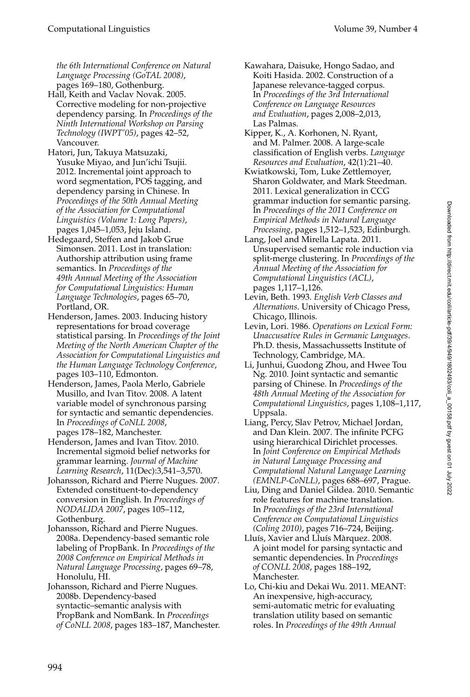*the 6th International Conference on Natural Language Processing (GoTAL 2008)*, pages 169–180, Gothenburg.

- Hall, Keith and Vaclav Novak. 2005. Corrective modeling for non-projective dependency parsing. In *Proceedings of the Ninth International Workshop on Parsing Technology (IWPT'05)*, pages 42–52, Vancouver.
- Hatori, Jun, Takuya Matsuzaki, Yusuke Miyao, and Jun'ichi Tsujii. 2012. Incremental joint approach to word segmentation, POS tagging, and dependency parsing in Chinese. In *Proceedings of the 50th Annual Meeting of the Association for Computational Linguistics (Volume 1: Long Papers)*, pages 1,045–1,053, Jeju Island.
- Hedegaard, Steffen and Jakob Grue Simonsen. 2011. Lost in translation: Authorship attribution using frame semantics. In *Proceedings of the 49th Annual Meeting of the Association for Computational Linguistics: Human Language Technologies*, pages 65–70, Portland, OR.
- Henderson, James. 2003. Inducing history representations for broad coverage statistical parsing. In *Proceedings of the Joint Meeting of the North American Chapter of the Association for Computational Linguistics and the Human Language Technology Conference*, pages 103–110, Edmonton.
- Henderson, James, Paola Merlo, Gabriele Musillo, and Ivan Titov. 2008. A latent variable model of synchronous parsing for syntactic and semantic dependencies. In *Proceedings of CoNLL 2008*, pages 178–182, Manchester.
- Henderson, James and Ivan Titov. 2010. Incremental sigmoid belief networks for grammar learning. *Journal of Machine Learning Research*, 11(Dec):3,541–3,570.
- Johansson, Richard and Pierre Nugues. 2007. Extended constituent-to-dependency conversion in English. In *Proceedings of NODALIDA 2007*, pages 105–112, Gothenburg.
- Johansson, Richard and Pierre Nugues. 2008a. Dependency-based semantic role labeling of PropBank. In *Proceedings of the 2008 Conference on Empirical Methods in Natural Language Processing*, pages 69–78, Honolulu, HI.
- Johansson, Richard and Pierre Nugues. 2008b. Dependency-based syntactic–semantic analysis with PropBank and NomBank. In *Proceedings of CoNLL 2008*, pages 183–187, Manchester.
- Kawahara, Daisuke, Hongo Sadao, and Koiti Hasida. 2002. Construction of a Japanese relevance-tagged corpus. In *Proceedings of the 3rd International Conference on Language Resources and Evaluation*, pages 2,008–2,013, Las Palmas.
- Kipper, K., A. Korhonen, N. Ryant, and M. Palmer. 2008. A large-scale classification of English verbs. *Language Resources and Evaluation*, 42(1):21–40.
- Kwiatkowski, Tom, Luke Zettlemoyer, Sharon Goldwater, and Mark Steedman. 2011. Lexical generalization in CCG grammar induction for semantic parsing. In *Proceedings of the 2011 Conference on Empirical Methods in Natural Language Processing*, pages 1,512–1,523, Edinburgh.
- Lang, Joel and Mirella Lapata. 2011. Unsupervised semantic role induction via split-merge clustering. In *Proceedings of the Annual Meeting of the Association for Computational Linguistics (ACL)*, pages 1,117–1,126.
- Levin, Beth. 1993. *English Verb Classes and Alternations*. University of Chicago Press, Chicago, Illinois.
- Levin, Lori. 1986. *Operations on Lexical Form: Unaccusative Rules in Germanic Languages*. Ph.D. thesis, Massachussetts Institute of Technology, Cambridge, MA.
- Li, Junhui, Guodong Zhou, and Hwee Tou Ng. 2010. Joint syntactic and semantic parsing of Chinese. In *Proceedings of the 48th Annual Meeting of the Association for Computational Linguistics*, pages 1,108–1,117, Uppsala.
- Liang, Percy, Slav Petrov, Michael Jordan, and Dan Klein. 2007. The infinite PCFG using hierarchical Dirichlet processes. In *Joint Conference on Empirical Methods in Natural Language Processing and Computational Natural Language Learning (EMNLP-CoNLL)*, pages 688–697, Prague.
- Liu, Ding and Daniel Gildea. 2010. Semantic role features for machine translation. In *Proceedings of the 23rd International Conference on Computational Linguistics (Coling 2010)*, pages 716–724, Beijing.
- Lluís, Xavier and Lluís Màrquez. 2008. A joint model for parsing syntactic and semantic dependencies. In *Proceedings of CONLL 2008*, pages 188–192, Manchester.
- Lo, Chi-kiu and Dekai Wu. 2011. MEANT: An inexpensive, high-accuracy, semi-automatic metric for evaluating translation utility based on semantic roles. In *Proceedings of the 49th Annual*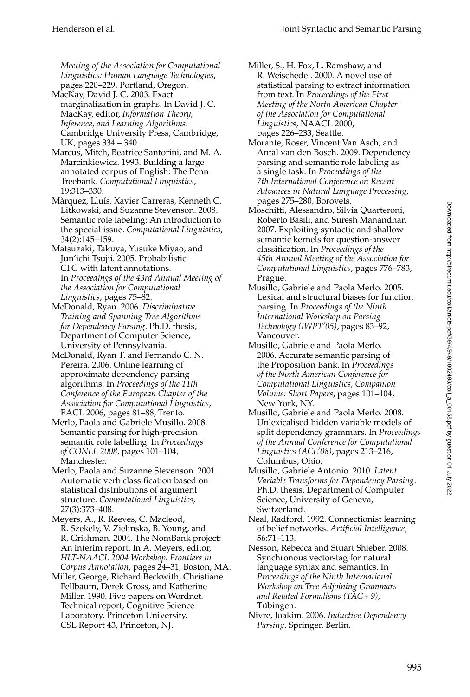*Meeting of the Association for Computational Linguistics: Human Language Technologies*, pages 220–229, Portland, Oregon.

- MacKay, David J. C. 2003. Exact marginalization in graphs. In David J. C. MacKay, editor, *Information Theory, Inference, and Learning Algorithms*. Cambridge University Press, Cambridge, UK, pages 334 – 340.
- Marcus, Mitch, Beatrice Santorini, and M. A. Marcinkiewicz. 1993. Building a large annotated corpus of English: The Penn Treebank. *Computational Linguistics*, 19:313–330.
- Màrquez, Lluís, Xavier Carreras, Kenneth C. Litkowski, and Suzanne Stevenson. 2008. Semantic role labeling: An introduction to the special issue. *Computational Linguistics*, 34(2):145–159.
- Matsuzaki, Takuya, Yusuke Miyao, and Jun'ichi Tsujii. 2005. Probabilistic CFG with latent annotations. In *Proceedings of the 43rd Annual Meeting of the Association for Computational Linguistics*, pages 75–82.
- McDonald, Ryan. 2006. *Discriminative Training and Spanning Tree Algorithms for Dependency Parsing*. Ph.D. thesis, Department of Computer Science, University of Pennsylvania.
- McDonald, Ryan T. and Fernando C. N. Pereira. 2006. Online learning of approximate dependency parsing algorithms. In *Proceedings of the 11th Conference of the European Chapter of the Association for Computational Linguistics*, EACL 2006, pages 81–88, Trento.
- Merlo, Paola and Gabriele Musillo. 2008. Semantic parsing for high-precision semantic role labelling. In *Proceedings of CONLL 2008*, pages 101–104, Manchester.
- Merlo, Paola and Suzanne Stevenson. 2001. Automatic verb classification based on statistical distributions of argument structure. *Computational Linguistics*, 27(3):373–408.
- Meyers, A., R. Reeves, C. Macleod, R. Szekely, V. Zielinska, B. Young, and R. Grishman. 2004. The NomBank project: An interim report. In A. Meyers, editor, *HLT-NAACL 2004 Workshop: Frontiers in Corpus Annotation*, pages 24–31, Boston, MA.
- Miller, George, Richard Beckwith, Christiane Fellbaum, Derek Gross, and Katherine Miller. 1990. Five papers on Wordnet. Technical report, Cognitive Science Laboratory, Princeton University. CSL Report 43, Princeton, NJ.
- Miller, S., H. Fox, L. Ramshaw, and R. Weischedel. 2000. A novel use of statistical parsing to extract information from text. In *Proceedings of the First Meeting of the North American Chapter of the Association for Computational Linguistics*, NAACL 2000, pages 226–233, Seattle.
- Morante, Roser, Vincent Van Asch, and Antal van den Bosch. 2009. Dependency parsing and semantic role labeling as a single task. In *Proceedings of the 7th International Conference on Recent Advances in Natural Language Processing*, pages 275–280, Borovets.
- Moschitti, Alessandro, Silvia Quarteroni, Roberto Basili, and Suresh Manandhar. 2007. Exploiting syntactic and shallow semantic kernels for question-answer classification. In *Proceedings of the 45th Annual Meeting of the Association for Computational Linguistics*, pages 776–783, Prague.
- Musillo, Gabriele and Paola Merlo. 2005. Lexical and structural biases for function parsing. In *Proceedings of the Ninth International Workshop on Parsing Technology (IWPT'05)*, pages 83–92, Vancouver.
- Musillo, Gabriele and Paola Merlo. 2006. Accurate semantic parsing of the Proposition Bank. In *Proceedings of the North American Conference for Computational Linguistics, Companion Volume: Short Papers*, pages 101–104, New York, NY.
- Musillo, Gabriele and Paola Merlo. 2008. Unlexicalised hidden variable models of split dependency grammars. In *Proceedings of the Annual Conference for Computational Linguistics (ACL'08)*, pages 213–216, Columbus, Ohio.
- Musillo, Gabriele Antonio. 2010. *Latent Variable Transforms for Dependency Parsing*. Ph.D. thesis, Department of Computer Science, University of Geneva, Switzerland.
- Neal, Radford. 1992. Connectionist learning of belief networks. *Artificial Intelligence*, 56:71–113.
- Nesson, Rebecca and Stuart Shieber. 2008. Synchronous vector-tag for natural language syntax and semantics. In *Proceedings of the Ninth International Workshop on Tree Adjoining Grammars and Related Formalisms (TAG+ 9)*, Tübingen.
- Nivre, Joakim. 2006. *Inductive Dependency Parsing*. Springer, Berlin.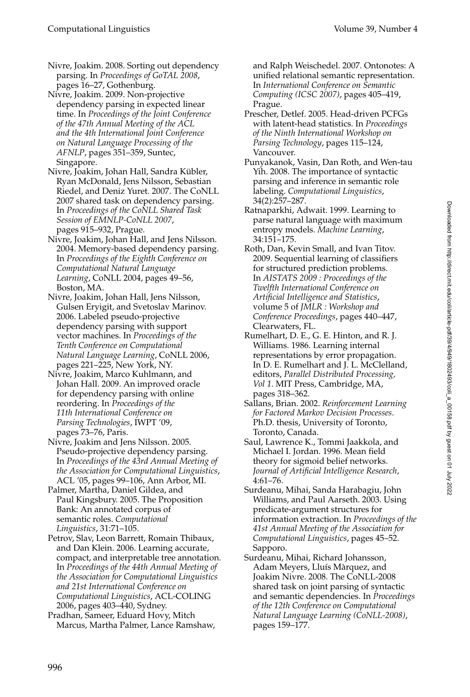- Nivre, Joakim. 2008. Sorting out dependency parsing. In *Proceedings of GoTAL 2008*, pages 16–27, Gothenburg.
- Nivre, Joakim. 2009. Non-projective dependency parsing in expected linear time. In *Proceedings of the Joint Conference of the 47th Annual Meeting of the ACL and the 4th International Joint Conference on Natural Language Processing of the AFNLP*, pages 351–359, Suntec, Singapore.
- Nivre, Joakim, Johan Hall, Sandra Kubler, ¨ Ryan McDonald, Jens Nilsson, Sebastian Riedel, and Deniz Yuret. 2007. The CoNLL 2007 shared task on dependency parsing. In *Proceedings of the CoNLL Shared Task Session of EMNLP-CoNLL 2007*, pages 915–932, Prague.
- Nivre, Joakim, Johan Hall, and Jens Nilsson. 2004. Memory-based dependency parsing. In *Proceedings of the Eighth Conference on Computational Natural Language Learning*, CoNLL 2004, pages 49–56, Boston, MA.
- Nivre, Joakim, Johan Hall, Jens Nilsson, Gulsen Eryigit, and Svetoslav Marinov. 2006. Labeled pseudo-projective dependency parsing with support vector machines. In *Proceedings of the Tenth Conference on Computational Natural Language Learning*, CoNLL 2006, pages 221–225, New York, NY.
- Nivre, Joakim, Marco Kuhlmann, and Johan Hall. 2009. An improved oracle for dependency parsing with online reordering. In *Proceedings of the 11th International Conference on Parsing Technologies*, IWPT '09, pages 73–76, Paris.
- Nivre, Joakim and Jens Nilsson. 2005. Pseudo-projective dependency parsing. In *Proceedings of the 43rd Annual Meeting of the Association for Computational Linguistics*, ACL '05, pages 99–106, Ann Arbor, MI.
- Palmer, Martha, Daniel Gildea, and Paul Kingsbury. 2005. The Proposition Bank: An annotated corpus of semantic roles. *Computational Linguistics*, 31:71–105.
- Petrov, Slav, Leon Barrett, Romain Thibaux, and Dan Klein. 2006. Learning accurate, compact, and interpretable tree annotation. In *Proceedings of the 44th Annual Meeting of the Association for Computational Linguistics and 21st International Conference on Computational Linguistics*, ACL-COLING 2006, pages 403–440, Sydney.
- Pradhan, Sameer, Eduard Hovy, Mitch Marcus, Martha Palmer, Lance Ramshaw,

and Ralph Weischedel. 2007. Ontonotes: A unified relational semantic representation. In *International Conference on Semantic Computing (ICSC 2007)*, pages 405–419, Prague.

- Prescher, Detlef. 2005. Head-driven PCFGs with latent-head statistics. In *Proceedings of the Ninth International Workshop on Parsing Technology*, pages 115–124, Vancouver.
- Punyakanok, Vasin, Dan Roth, and Wen-tau Yih. 2008. The importance of syntactic parsing and inference in semantic role labeling. *Computational Linguistics*, 34(2):257–287.
- Ratnaparkhi, Adwait. 1999. Learning to parse natural language with maximum entropy models. *Machine Learning*, 34:151–175.
- Roth, Dan, Kevin Small, and Ivan Titov. 2009. Sequential learning of classifiers for structured prediction problems. In *AISTATS 2009 : Proceedings of the Twelfth International Conference on Artificial Intelligence and Statistics*, volume 5 of *JMLR : Workshop and Conference Proceedings*, pages 440–447, Clearwaters, FL.
- Rumelhart, D. E., G. E. Hinton, and R. J. Williams. 1986. Learning internal representations by error propagation. In D. E. Rumelhart and J. L. McClelland, editors, *Parallel Distributed Processing, Vol 1*. MIT Press, Cambridge, MA, pages 318–362.
- Sallans, Brian. 2002. *Reinforcement Learning for Factored Markov Decision Processes*. Ph.D. thesis, University of Toronto, Toronto, Canada.
- Saul, Lawrence K., Tommi Jaakkola, and Michael I. Jordan. 1996. Mean field theory for sigmoid belief networks. *Journal of Artificial Intelligence Research*, 4:61–76.
- Surdeanu, Mihai, Sanda Harabagiu, John Williams, and Paul Aarseth. 2003. Using predicate-argument structures for information extraction. In *Proceedings of the 41st Annual Meeting of the Association for Computational Linguistics*, pages 45–52. Sapporo.
- Surdeanu, Mihai, Richard Johansson, Adam Meyers, Lluís Màrquez, and Joakim Nivre. 2008. The CoNLL-2008 shared task on joint parsing of syntactic and semantic dependencies. In *Proceedings of the 12th Conference on Computational Natural Language Learning (CoNLL-2008)*, pages 159–177.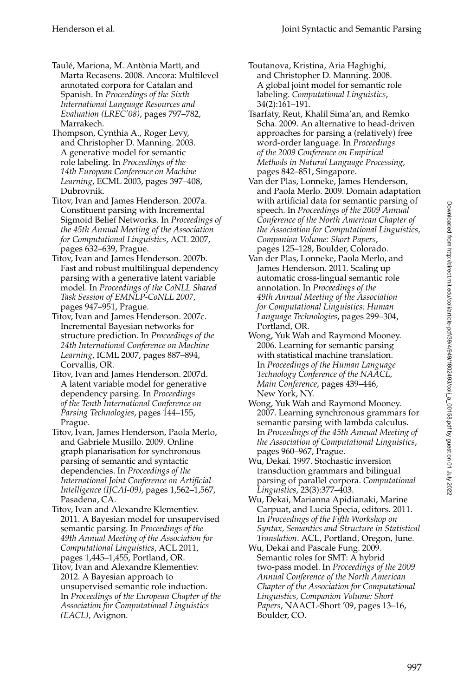- Taulé, Mariona, M. Antònia Martì, and Marta Recasens. 2008. Ancora: Multilevel annotated corpora for Catalan and Spanish. In *Proceedings of the Sixth International Language Resources and Evaluation (LREC'08)*, pages 797–782, Marrakech.
- Thompson, Cynthia A., Roger Levy, and Christopher D. Manning. 2003. A generative model for semantic role labeling. In *Proceedings of the 14th European Conference on Machine Learning*, ECML 2003, pages 397–408, Dubrovnik.
- Titov, Ivan and James Henderson. 2007a. Constituent parsing with Incremental Sigmoid Belief Networks. In *Proceedings of the 45th Annual Meeting of the Association for Computational Linguistics*, ACL 2007, pages 632–639, Prague.
- Titov, Ivan and James Henderson. 2007b. Fast and robust multilingual dependency parsing with a generative latent variable model. In *Proceedings of the CoNLL Shared Task Session of EMNLP-CoNLL 2007*, pages 947–951, Prague.
- Titov, Ivan and James Henderson. 2007c. Incremental Bayesian networks for structure prediction. In *Proceedings of the 24th International Conference on Machine Learning*, ICML 2007, pages 887–894, Corvallis, OR.
- Titov, Ivan and James Henderson. 2007d. A latent variable model for generative dependency parsing. In *Proceedings of the Tenth International Conference on Parsing Technologies*, pages 144–155, Prague.
- Titov, Ivan, James Henderson, Paola Merlo, and Gabriele Musillo. 2009. Online graph planarisation for synchronous parsing of semantic and syntactic dependencies. In *Proceedings of the International Joint Conference on Artificial Intelligence (IJCAI-09)*, pages 1,562–1,567, Pasadena, CA.
- Titov, Ivan and Alexandre Klementiev. 2011. A Bayesian model for unsupervised semantic parsing. In *Proceedings of the 49th Annual Meeting of the Association for Computational Linguistics*, ACL 2011, pages 1,445–1,455, Portland, OR.
- Titov, Ivan and Alexandre Klementiev. 2012. A Bayesian approach to unsupervised semantic role induction. In *Proceedings of the European Chapter of the Association for Computational Linguistics (EACL)*, Avignon.
- Toutanova, Kristina, Aria Haghighi, and Christopher D. Manning. 2008. A global joint model for semantic role labeling. *Computational Linguistics*, 34(2):161–191.
- Tsarfaty, Reut, Khalil Sima'an, and Remko Scha. 2009. An alternative to head-driven approaches for parsing a (relatively) free word-order language. In *Proceedings of the 2009 Conference on Empirical Methods in Natural Language Processing*, pages 842–851, Singapore.
- Van der Plas, Lonneke, James Henderson, and Paola Merlo. 2009. Domain adaptation with artificial data for semantic parsing of speech. In *Proceedings of the 2009 Annual Conference of the North American Chapter of the Association for Computational Linguistics, Companion Volume: Short Papers*, pages 125–128, Boulder, Colorado.
- Van der Plas, Lonneke, Paola Merlo, and James Henderson. 2011. Scaling up automatic cross-lingual semantic role annotation. In *Proceedings of the 49th Annual Meeting of the Association for Computational Linguistics: Human Language Technologies*, pages 299–304, Portland, OR.
- Wong, Yuk Wah and Raymond Mooney. 2006. Learning for semantic parsing with statistical machine translation. In *Proceedings of the Human Language Technology Conference of the NAACL, Main Conference*, pages 439–446, New York, NY.
- Wong, Yuk Wah and Raymond Mooney. 2007. Learning synchronous grammars for semantic parsing with lambda calculus. In *Proceedings of the 45th Annual Meeting of the Association of Computational Linguistics*, pages 960–967, Prague.
- Wu, Dekai. 1997. Stochastic inversion transduction grammars and bilingual parsing of parallel corpora. *Computational Linguistics*, 23(3):377–403.
- Wu, Dekai, Marianna Apidianaki, Marine Carpuat, and Lucia Specia, editors. 2011. In *Proceedings of the Fifth Workshop on Syntax, Semantics and Structure in Statistical Translation*. ACL, Portland, Oregon, June.
- Wu, Dekai and Pascale Fung. 2009. Semantic roles for SMT: A hybrid two-pass model. In *Proceedings of the 2009 Annual Conference of the North American Chapter of the Association for Computational Linguistics, Companion Volume: Short Papers*, NAACL-Short '09, pages 13–16, Boulder, CO.